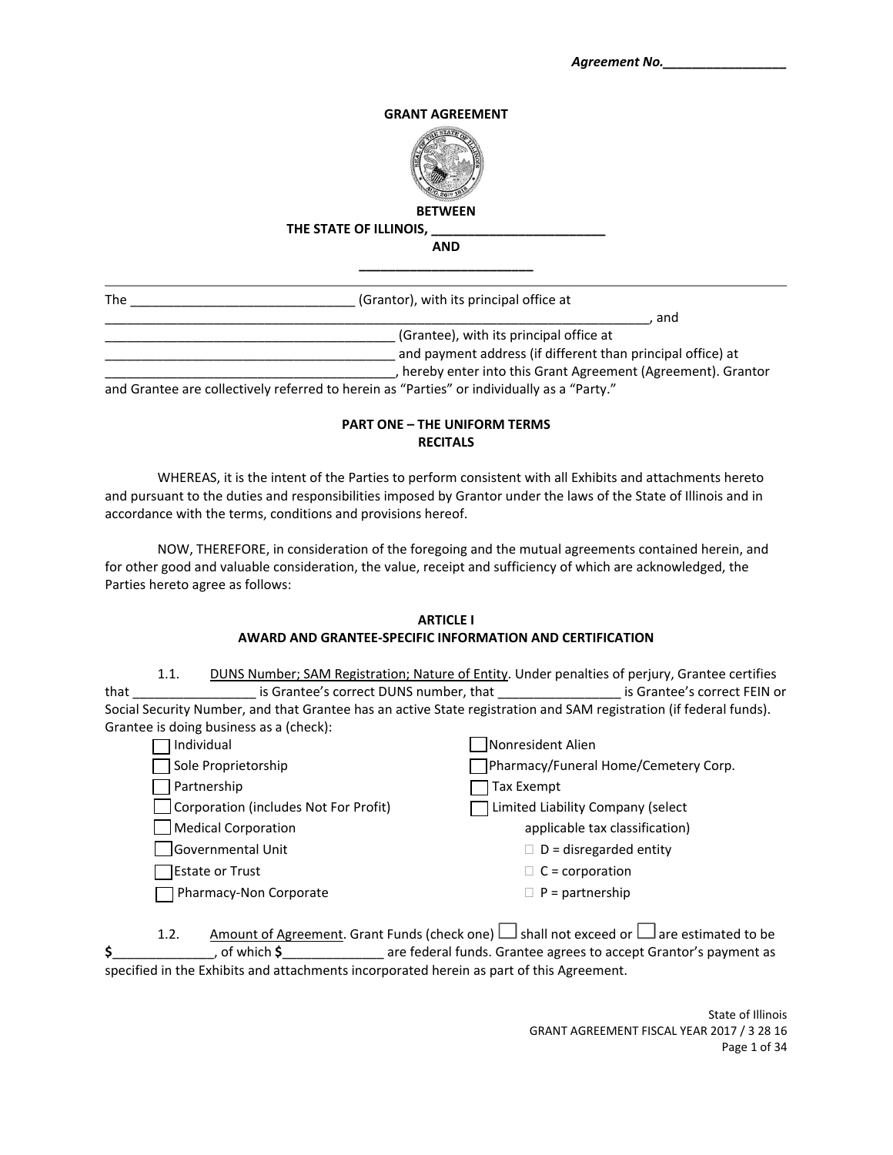### **GRANT AGREEMENT**



**BETWEEN**

## **THE STATE OF ILLINOIS, \_\_\_\_\_\_\_\_\_\_\_\_\_\_\_\_\_\_\_\_\_\_\_\_**

**AND \_\_\_\_\_\_\_\_\_\_\_\_\_\_\_\_\_\_\_\_\_\_\_\_**

| <b>The</b> | (Grantor), with its principal office at                                      |
|------------|------------------------------------------------------------------------------|
|            | and                                                                          |
|            | (Grantee), with its principal office at                                      |
|            | and payment address (if different than principal office) at                  |
|            | hereby enter into this Grant Agreement (Agreement). Grantor                  |
|            | " Party " party referred to herein as "Parties" or individually as a "Party" |

and Grantee are collectively referred to herein as "Parties" or individually as a "Party."

# **PART ONE – THE UNIFORM TERMS RECITALS**

WHEREAS, it is the intent of the Parties to perform consistent with all Exhibits and attachments hereto and pursuant to the duties and responsibilities imposed by Grantor under the laws of the State of Illinois and in accordance with the terms, conditions and provisions hereof.

NOW, THEREFORE, in consideration of the foregoing and the mutual agreements contained herein, and for other good and valuable consideration, the value, receipt and sufficiency of which are acknowledged, the Parties hereto agree as follows:

#### **ARTICLE I AWARD AND GRANTEE‐SPECIFIC INFORMATION AND CERTIFICATION**

|      | 1.1.                | DUNS Number; SAM Registration; Nature of Entity. Under penalties of perjury, Grantee certifies                     |                              |
|------|---------------------|--------------------------------------------------------------------------------------------------------------------|------------------------------|
| that |                     | is Grantee's correct DUNS number, that                                                                             | is Grantee's correct FEIN or |
|      |                     | Social Security Number, and that Grantee has an active State registration and SAM registration (if federal funds). |                              |
|      |                     | Grantee is doing business as a (check):                                                                            |                              |
|      | $\Box$ that is dual |                                                                                                                    | Nonrocident Alian            |

| Individual                            | <b>INONTESIDENT Allen</b>            |
|---------------------------------------|--------------------------------------|
| Sole Proprietorship                   | Pharmacy/Funeral Home/Cemetery Corp. |
| Partnership                           | Tax Exempt                           |
| Corporation (includes Not For Profit) | Limited Liability Company (select    |
| Medical Corporation                   | applicable tax classification)       |
| Governmental Unit                     | $\Box$ D = disregarded entity        |
| Estate or Trust                       | $\Box$ C = corporation               |
| Pharmacy-Non Corporate                | $\Box$ P = partnership               |
|                                       |                                      |

| 1.2. |                     | Amount of Agreement. Grant Funds (check one) $\Box$ shall not exceed or $\Box$ are estimated to be |
|------|---------------------|----------------------------------------------------------------------------------------------------|
|      | . of which <b>S</b> | are federal funds. Grantee agrees to accept Grantor's payment as                                   |
|      |                     | specified in the Exhibits and attachments incorporated herein as part of this Agreement.           |

State of Illinois GRANT AGREEMENT FISCAL YEAR 2017 / 3 28 16 Page 1 of 34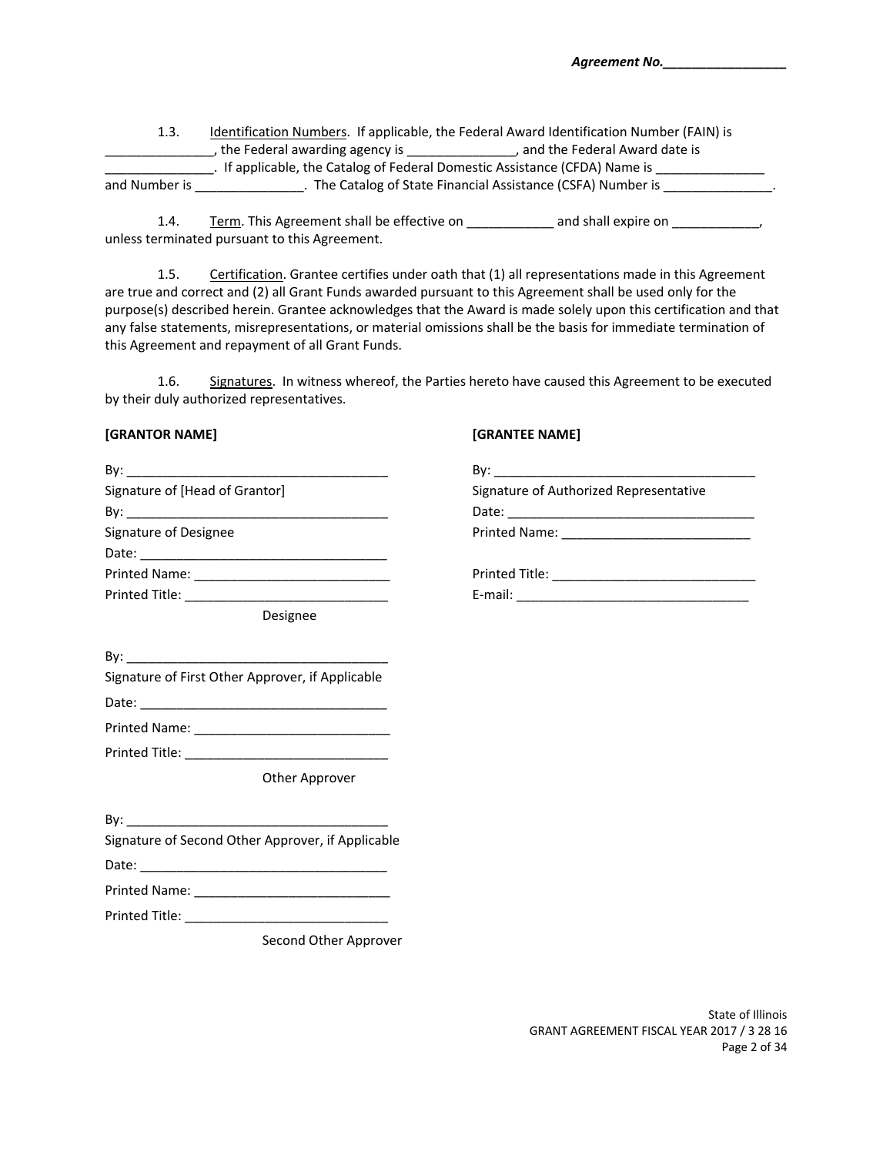| 1.3.          |                                                                            | Identification Numbers. If applicable, the Federal Award Identification Number (FAIN) is |  |
|---------------|----------------------------------------------------------------------------|------------------------------------------------------------------------------------------|--|
|               | the Federal awarding agency is                                             | and the Federal Award date is                                                            |  |
|               | . If applicable, the Catalog of Federal Domestic Assistance (CFDA) Name is |                                                                                          |  |
| and Number is |                                                                            | The Catalog of State Financial Assistance (CSFA) Number is                               |  |

1.4. Term. This Agreement shall be effective on \_\_\_\_\_\_\_\_\_\_\_\_\_ and shall expire on \_\_\_\_\_\_\_\_\_\_\_\_, unless terminated pursuant to this Agreement.

1.5. Certification. Grantee certifies under oath that (1) all representations made in this Agreement are true and correct and (2) all Grant Funds awarded pursuant to this Agreement shall be used only for the purpose(s) described herein. Grantee acknowledges that the Award is made solely upon this certification and that any false statements, misrepresentations, or material omissions shall be the basis for immediate termination of this Agreement and repayment of all Grant Funds.

1.6. Signatures. In witness whereof, the Parties hereto have caused this Agreement to be executed by their duly authorized representatives.

#### **[GRANTOR NAME] [GRANTEE NAME]**

| Signature of [Head of Grantor]                    | Signature of Authorized Representative |
|---------------------------------------------------|----------------------------------------|
|                                                   |                                        |
| Signature of Designee                             |                                        |
|                                                   |                                        |
|                                                   |                                        |
|                                                   |                                        |
| Designee                                          |                                        |
|                                                   |                                        |
| Signature of First Other Approver, if Applicable  |                                        |
|                                                   |                                        |
|                                                   |                                        |
|                                                   |                                        |
| Other Approver                                    |                                        |
|                                                   |                                        |
| Signature of Second Other Approver, if Applicable |                                        |
|                                                   |                                        |
|                                                   |                                        |
|                                                   |                                        |
| Second Other Approver                             |                                        |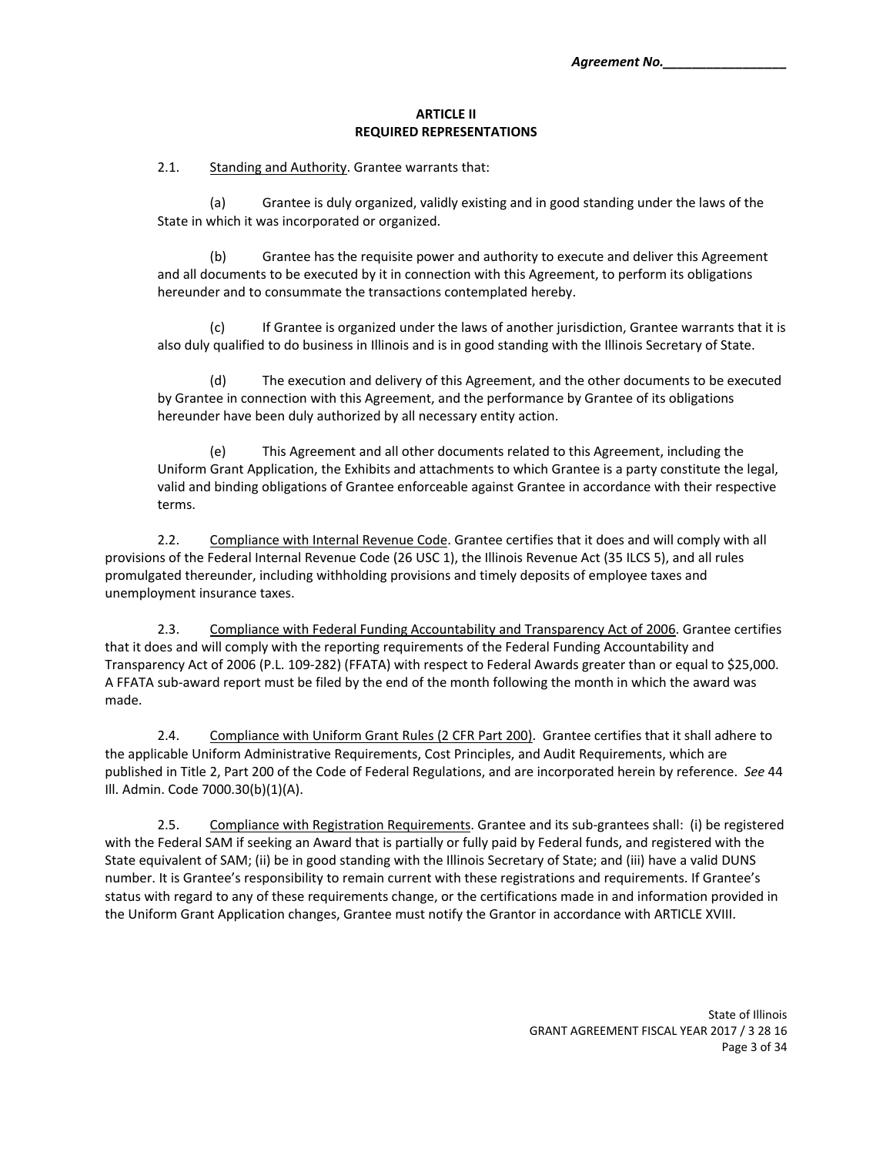#### **ARTICLE II REQUIRED REPRESENTATIONS**

2.1. Standing and Authority. Grantee warrants that:

(a) Grantee is duly organized, validly existing and in good standing under the laws of the State in which it was incorporated or organized.

(b) Grantee has the requisite power and authority to execute and deliver this Agreement and all documents to be executed by it in connection with this Agreement, to perform its obligations hereunder and to consummate the transactions contemplated hereby.

(c) If Grantee is organized under the laws of another jurisdiction, Grantee warrants that it is also duly qualified to do business in Illinois and is in good standing with the Illinois Secretary of State.

(d) The execution and delivery of this Agreement, and the other documents to be executed by Grantee in connection with this Agreement, and the performance by Grantee of its obligations hereunder have been duly authorized by all necessary entity action.

(e) This Agreement and all other documents related to this Agreement, including the Uniform Grant Application, the Exhibits and attachments to which Grantee is a party constitute the legal, valid and binding obligations of Grantee enforceable against Grantee in accordance with their respective terms.

2.2. Compliance with Internal Revenue Code. Grantee certifies that it does and will comply with all provisions of the Federal Internal Revenue Code (26 USC 1), the Illinois Revenue Act (35 ILCS 5), and all rules promulgated thereunder, including withholding provisions and timely deposits of employee taxes and unemployment insurance taxes.

2.3. Compliance with Federal Funding Accountability and Transparency Act of 2006. Grantee certifies that it does and will comply with the reporting requirements of the Federal Funding Accountability and Transparency Act of 2006 (P.L. 109‐282) (FFATA) with respect to Federal Awards greater than or equal to \$25,000. A FFATA sub‐award report must be filed by the end of the month following the month in which the award was made.

2.4. Compliance with Uniform Grant Rules (2 CFR Part 200). Grantee certifies that it shall adhere to the applicable Uniform Administrative Requirements, Cost Principles, and Audit Requirements, which are published in Title 2, Part 200 of the Code of Federal Regulations, and are incorporated herein by reference. *See* 44 Ill. Admin. Code 7000.30(b)(1)(A).

2.5. Compliance with Registration Requirements. Grantee and its sub-grantees shall: (i) be registered with the Federal SAM if seeking an Award that is partially or fully paid by Federal funds, and registered with the State equivalent of SAM; (ii) be in good standing with the Illinois Secretary of State; and (iii) have a valid DUNS number. It is Grantee's responsibility to remain current with these registrations and requirements. If Grantee's status with regard to any of these requirements change, or the certifications made in and information provided in the Uniform Grant Application changes, Grantee must notify the Grantor in accordance with ARTICLE XVIII.

> State of Illinois GRANT AGREEMENT FISCAL YEAR 2017 / 3 28 16 Page 3 of 34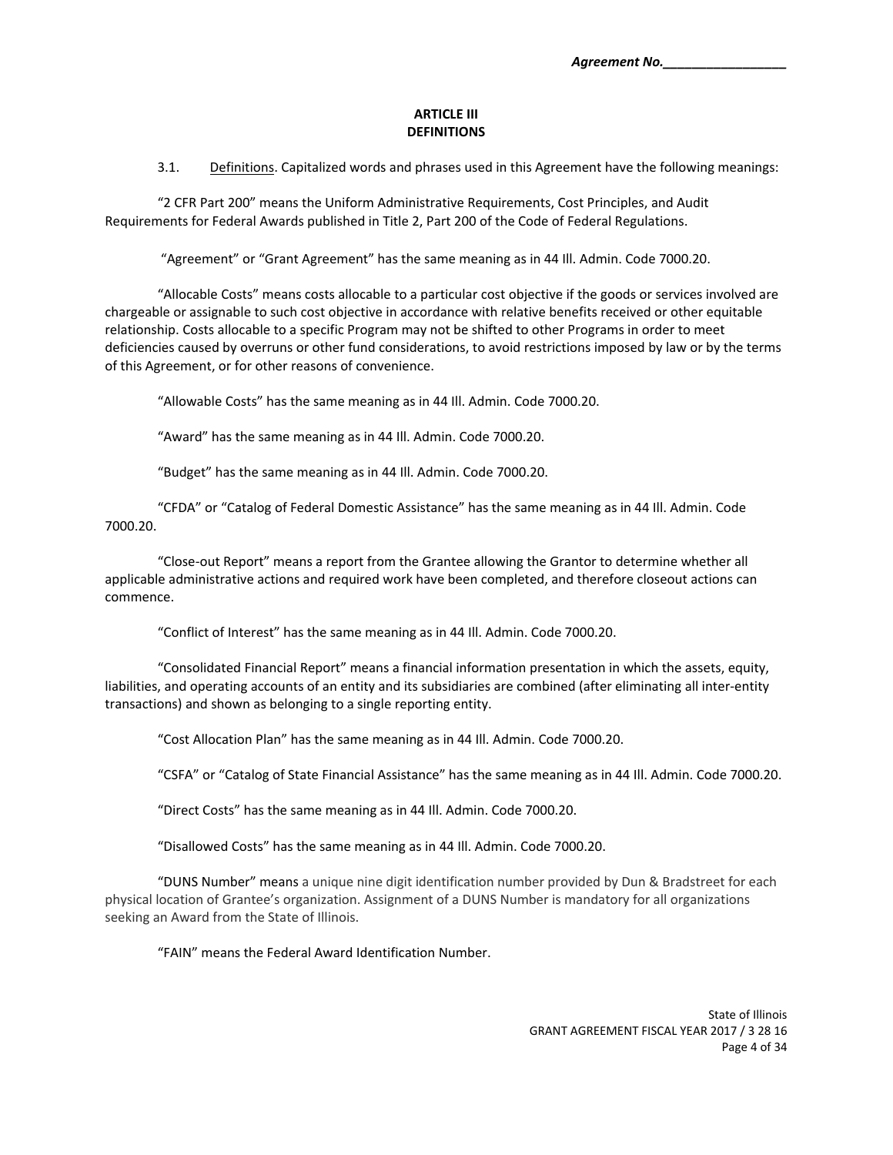#### **ARTICLE III DEFINITIONS**

3.1. Definitions. Capitalized words and phrases used in this Agreement have the following meanings:

"2 CFR Part 200" means the Uniform Administrative Requirements, Cost Principles, and Audit Requirements for Federal Awards published in Title 2, Part 200 of the Code of Federal Regulations.

"Agreement" or "Grant Agreement" has the same meaning as in 44 Ill. Admin. Code 7000.20.

"Allocable Costs" means costs allocable to a particular cost objective if the goods or services involved are chargeable or assignable to such cost objective in accordance with relative benefits received or other equitable relationship. Costs allocable to a specific Program may not be shifted to other Programs in order to meet deficiencies caused by overruns or other fund considerations, to avoid restrictions imposed by law or by the terms of this Agreement, or for other reasons of convenience.

"Allowable Costs" has the same meaning as in 44 Ill. Admin. Code 7000.20.

"Award" has the same meaning as in 44 Ill. Admin. Code 7000.20.

"Budget" has the same meaning as in 44 Ill. Admin. Code 7000.20.

"CFDA" or "Catalog of Federal Domestic Assistance" has the same meaning as in 44 Ill. Admin. Code 7000.20.

"Close‐out Report" means a report from the Grantee allowing the Grantor to determine whether all applicable administrative actions and required work have been completed, and therefore closeout actions can commence.

"Conflict of Interest" has the same meaning as in 44 Ill. Admin. Code 7000.20.

"Consolidated Financial Report" means a financial information presentation in which the assets, equity, liabilities, and operating accounts of an entity and its subsidiaries are combined (after eliminating all inter‐entity transactions) and shown as belonging to a single reporting entity.

"Cost Allocation Plan" has the same meaning as in 44 Ill. Admin. Code 7000.20.

"CSFA" or "Catalog of State Financial Assistance" has the same meaning as in 44 Ill. Admin. Code 7000.20.

"Direct Costs" has the same meaning as in 44 Ill. Admin. Code 7000.20.

"Disallowed Costs" has the same meaning as in 44 Ill. Admin. Code 7000.20.

"DUNS Number" means a unique nine digit identification number provided by Dun & Bradstreet for each physical location of Grantee's organization. Assignment of a DUNS Number is mandatory for all organizations seeking an Award from the State of Illinois.

"FAIN" means the Federal Award Identification Number.

State of Illinois GRANT AGREEMENT FISCAL YEAR 2017 / 3 28 16 Page 4 of 34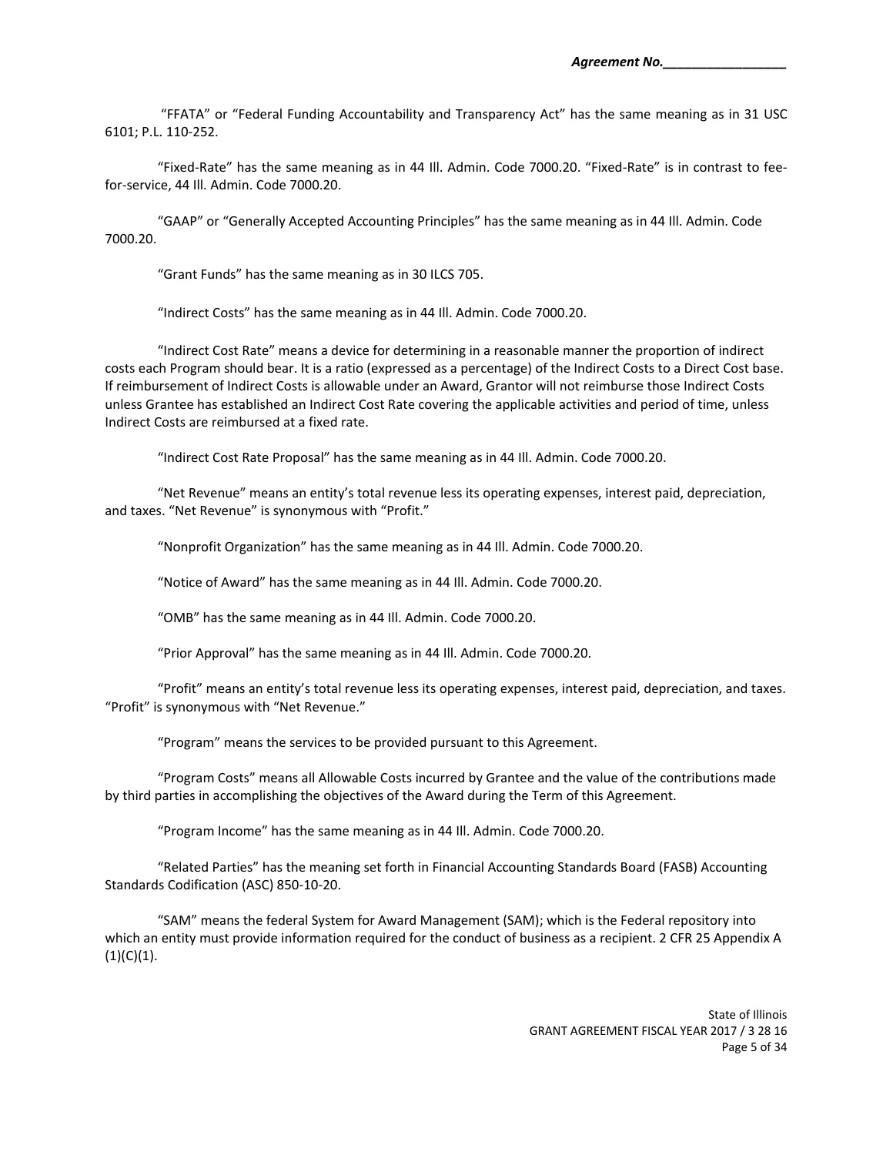"FFATA" or "Federal Funding Accountability and Transparency Act" has the same meaning as in 31 USC 6101; P.L. 110‐252.

"Fixed‐Rate" has the same meaning as in 44 Ill. Admin. Code 7000.20. "Fixed‐Rate" is in contrast to fee‐ for‐service, 44 Ill. Admin. Code 7000.20.

"GAAP" or "Generally Accepted Accounting Principles" has the same meaning as in 44 Ill. Admin. Code 7000.20.

"Grant Funds" has the same meaning as in 30 ILCS 705.

"Indirect Costs" has the same meaning as in 44 Ill. Admin. Code 7000.20.

"Indirect Cost Rate" means a device for determining in a reasonable manner the proportion of indirect costs each Program should bear. It is a ratio (expressed as a percentage) of the Indirect Costs to a Direct Cost base. If reimbursement of Indirect Costs is allowable under an Award, Grantor will not reimburse those Indirect Costs unless Grantee has established an Indirect Cost Rate covering the applicable activities and period of time, unless Indirect Costs are reimbursed at a fixed rate.

"Indirect Cost Rate Proposal" has the same meaning as in 44 Ill. Admin. Code 7000.20.

"Net Revenue" means an entity's total revenue less its operating expenses, interest paid, depreciation, and taxes. "Net Revenue" is synonymous with "Profit."

"Nonprofit Organization" has the same meaning as in 44 Ill. Admin. Code 7000.20.

"Notice of Award" has the same meaning as in 44 Ill. Admin. Code 7000.20.

"OMB" has the same meaning as in 44 Ill. Admin. Code 7000.20.

"Prior Approval" has the same meaning as in 44 Ill. Admin. Code 7000.20.

"Profit" means an entity's total revenue less its operating expenses, interest paid, depreciation, and taxes. "Profit" is synonymous with "Net Revenue."

"Program" means the services to be provided pursuant to this Agreement.

"Program Costs" means all Allowable Costs incurred by Grantee and the value of the contributions made by third parties in accomplishing the objectives of the Award during the Term of this Agreement.

"Program Income" has the same meaning as in 44 Ill. Admin. Code 7000.20.

"Related Parties" has the meaning set forth in Financial Accounting Standards Board (FASB) Accounting Standards Codification (ASC) 850‐10‐20.

"SAM" means the federal System for Award Management (SAM); which is the Federal repository into which an entity must provide information required for the conduct of business as a recipient. 2 CFR 25 Appendix A  $(1)(C)(1).$ 

> State of Illinois GRANT AGREEMENT FISCAL YEAR 2017 / 3 28 16 Page 5 of 34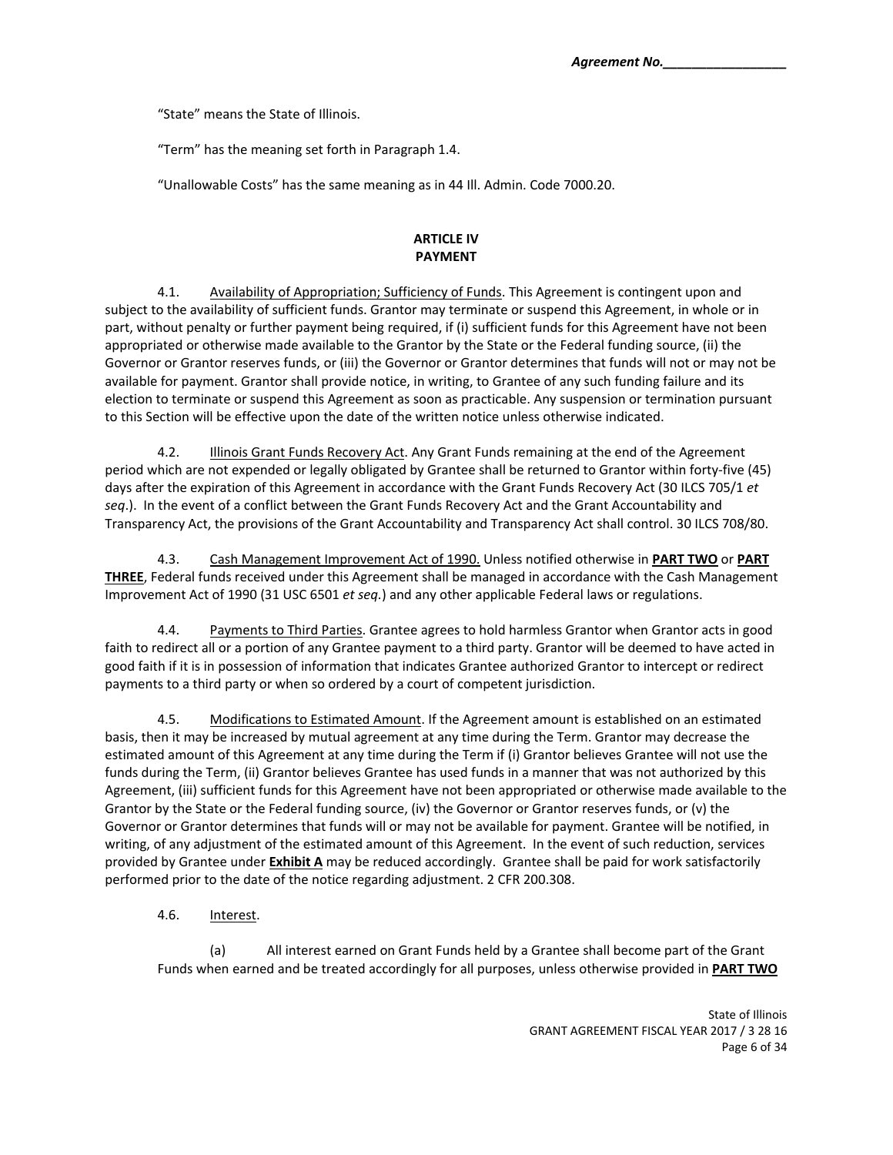"State" means the State of Illinois.

"Term" has the meaning set forth in Paragraph 1.4.

"Unallowable Costs" has the same meaning as in 44 Ill. Admin. Code 7000.20.

## **ARTICLE IV PAYMENT**

4.1. Availability of Appropriation; Sufficiency of Funds. This Agreement is contingent upon and subject to the availability of sufficient funds. Grantor may terminate or suspend this Agreement, in whole or in part, without penalty or further payment being required, if (i) sufficient funds for this Agreement have not been appropriated or otherwise made available to the Grantor by the State or the Federal funding source, (ii) the Governor or Grantor reserves funds, or (iii) the Governor or Grantor determines that funds will not or may not be available for payment. Grantor shall provide notice, in writing, to Grantee of any such funding failure and its election to terminate or suspend this Agreement as soon as practicable. Any suspension or termination pursuant to this Section will be effective upon the date of the written notice unless otherwise indicated.

4.2. Illinois Grant Funds Recovery Act. Any Grant Funds remaining at the end of the Agreement period which are not expended or legally obligated by Grantee shall be returned to Grantor within forty-five (45) days after the expiration of this Agreement in accordance with the Grant Funds Recovery Act (30 ILCS 705/1 *et seq*.). In the event of a conflict between the Grant Funds Recovery Act and the Grant Accountability and Transparency Act, the provisions of the Grant Accountability and Transparency Act shall control. 30 ILCS 708/80.

4.3. Cash Management Improvement Act of 1990. Unless notified otherwise in **PART TWO** or **PART THREE**, Federal funds received under this Agreement shall be managed in accordance with the Cash Management Improvement Act of 1990 (31 USC 6501 *et seq.*) and any other applicable Federal laws or regulations.

4.4. Payments to Third Parties. Grantee agrees to hold harmless Grantor when Grantor acts in good faith to redirect all or a portion of any Grantee payment to a third party. Grantor will be deemed to have acted in good faith if it is in possession of information that indicates Grantee authorized Grantor to intercept or redirect payments to a third party or when so ordered by a court of competent jurisdiction.

4.5. Modifications to Estimated Amount. If the Agreement amount is established on an estimated basis, then it may be increased by mutual agreement at any time during the Term. Grantor may decrease the estimated amount of this Agreement at any time during the Term if (i) Grantor believes Grantee will not use the funds during the Term, (ii) Grantor believes Grantee has used funds in a manner that was not authorized by this Agreement, (iii) sufficient funds for this Agreement have not been appropriated or otherwise made available to the Grantor by the State or the Federal funding source, (iv) the Governor or Grantor reserves funds, or (v) the Governor or Grantor determines that funds will or may not be available for payment. Grantee will be notified, in writing, of any adjustment of the estimated amount of this Agreement. In the event of such reduction, services provided by Grantee under **Exhibit A** may be reduced accordingly. Grantee shall be paid for work satisfactorily performed prior to the date of the notice regarding adjustment. 2 CFR 200.308.

4.6. Interest.

 (a) All interest earned on Grant Funds held by a Grantee shall become part of the Grant Funds when earned and be treated accordingly for all purposes, unless otherwise provided in **PART TWO**

> State of Illinois GRANT AGREEMENT FISCAL YEAR 2017 / 3 28 16 Page 6 of 34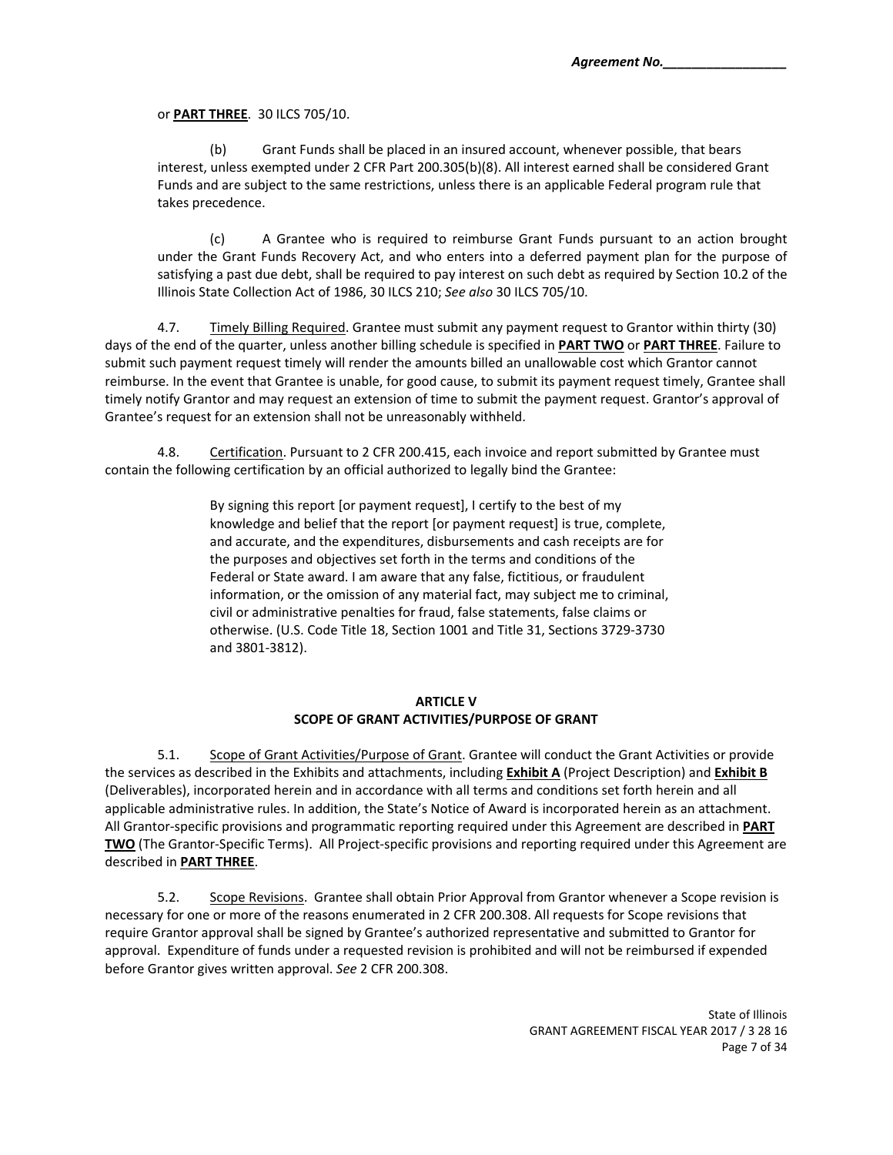or **PART THREE**. 30 ILCS 705/10.

Grant Funds shall be placed in an insured account, whenever possible, that bears interest, unless exempted under 2 CFR Part 200.305(b)(8). All interest earned shall be considered Grant Funds and are subject to the same restrictions, unless there is an applicable Federal program rule that takes precedence.

(c) A Grantee who is required to reimburse Grant Funds pursuant to an action brought under the Grant Funds Recovery Act, and who enters into a deferred payment plan for the purpose of satisfying a past due debt, shall be required to pay interest on such debt as required by Section 10.2 of the Illinois State Collection Act of 1986, 30 ILCS 210; *See also* 30 ILCS 705/10.

4.7. Timely Billing Required. Grantee must submit any payment request to Grantor within thirty (30) days of the end of the quarter, unless another billing schedule is specified in **PART TWO** or **PART THREE**. Failure to submit such payment request timely will render the amounts billed an unallowable cost which Grantor cannot reimburse. In the event that Grantee is unable, for good cause, to submit its payment request timely, Grantee shall timely notify Grantor and may request an extension of time to submit the payment request. Grantor's approval of Grantee's request for an extension shall not be unreasonably withheld.

4.8. Certification. Pursuant to 2 CFR 200.415, each invoice and report submitted by Grantee must contain the following certification by an official authorized to legally bind the Grantee:

> By signing this report [or payment request], I certify to the best of my knowledge and belief that the report [or payment request] is true, complete, and accurate, and the expenditures, disbursements and cash receipts are for the purposes and objectives set forth in the terms and conditions of the Federal or State award. I am aware that any false, fictitious, or fraudulent information, or the omission of any material fact, may subject me to criminal, civil or administrative penalties for fraud, false statements, false claims or otherwise. (U.S. Code Title 18, Section 1001 and Title 31, Sections 3729‐3730 and 3801‐3812).

### **ARTICLE V SCOPE OF GRANT ACTIVITIES/PURPOSE OF GRANT**

5.1. Scope of Grant Activities/Purpose of Grant. Grantee will conduct the Grant Activities or provide the services as described in the Exhibits and attachments, including **Exhibit A** (Project Description) and **Exhibit B** (Deliverables), incorporated herein and in accordance with all terms and conditions set forth herein and all applicable administrative rules. In addition, the State's Notice of Award is incorporated herein as an attachment. All Grantor‐specific provisions and programmatic reporting required under this Agreement are described in **PART TWO** (The Grantor-Specific Terms). All Project-specific provisions and reporting required under this Agreement are described in **PART THREE**.

5.2. Scope Revisions. Grantee shall obtain Prior Approval from Grantor whenever a Scope revision is necessary for one or more of the reasons enumerated in 2 CFR 200.308. All requests for Scope revisions that require Grantor approval shall be signed by Grantee's authorized representative and submitted to Grantor for approval. Expenditure of funds under a requested revision is prohibited and will not be reimbursed if expended before Grantor gives written approval. *See* 2 CFR 200.308.

> State of Illinois GRANT AGREEMENT FISCAL YEAR 2017 / 3 28 16 Page 7 of 34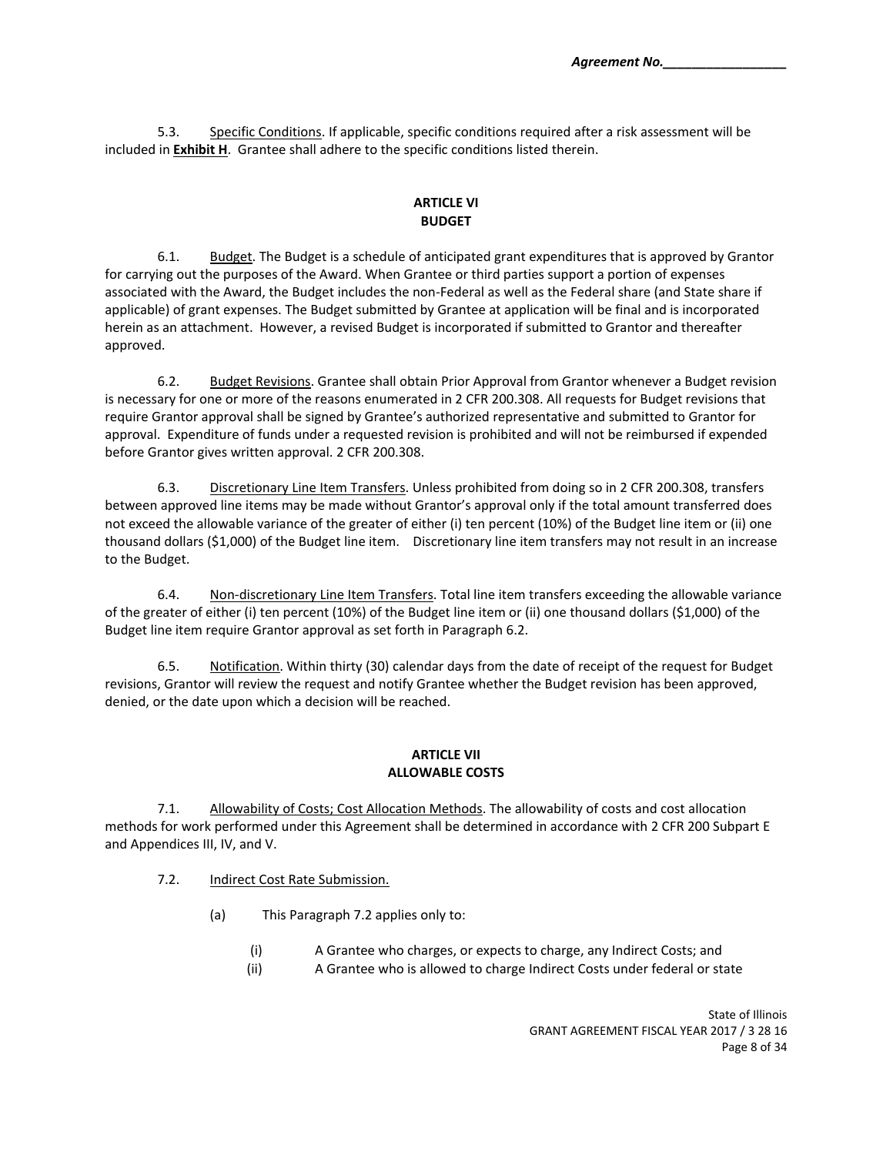5.3. Specific Conditions. If applicable, specific conditions required after a risk assessment will be included in **Exhibit H**. Grantee shall adhere to the specific conditions listed therein.

## **ARTICLE VI BUDGET**

6.1. Budget. The Budget is a schedule of anticipated grant expenditures that is approved by Grantor for carrying out the purposes of the Award. When Grantee or third parties support a portion of expenses associated with the Award, the Budget includes the non‐Federal as well as the Federal share (and State share if applicable) of grant expenses. The Budget submitted by Grantee at application will be final and is incorporated herein as an attachment. However, a revised Budget is incorporated if submitted to Grantor and thereafter approved.

6.2. Budget Revisions. Grantee shall obtain Prior Approval from Grantor whenever a Budget revision is necessary for one or more of the reasons enumerated in 2 CFR 200.308. All requests for Budget revisions that require Grantor approval shall be signed by Grantee's authorized representative and submitted to Grantor for approval. Expenditure of funds under a requested revision is prohibited and will not be reimbursed if expended before Grantor gives written approval. 2 CFR 200.308.

6.3. Discretionary Line Item Transfers. Unless prohibited from doing so in 2 CFR 200.308, transfers between approved line items may be made without Grantor's approval only if the total amount transferred does not exceed the allowable variance of the greater of either (i) ten percent (10%) of the Budget line item or (ii) one thousand dollars (\$1,000) of the Budget line item. Discretionary line item transfers may not result in an increase to the Budget.

6.4. Non-discretionary Line Item Transfers. Total line item transfers exceeding the allowable variance of the greater of either (i) ten percent (10%) of the Budget line item or (ii) one thousand dollars (\$1,000) of the Budget line item require Grantor approval as set forth in Paragraph 6.2.

6.5. Notification. Within thirty (30) calendar days from the date of receipt of the request for Budget revisions, Grantor will review the request and notify Grantee whether the Budget revision has been approved, denied, or the date upon which a decision will be reached.

### **ARTICLE VII ALLOWABLE COSTS**

7.1. Allowability of Costs; Cost Allocation Methods. The allowability of costs and cost allocation methods for work performed under this Agreement shall be determined in accordance with 2 CFR 200 Subpart E and Appendices III, IV, and V.

- 7.2. Indirect Cost Rate Submission.
	- (a) This Paragraph 7.2 applies only to:
		- (i) A Grantee who charges, or expects to charge, any Indirect Costs; and
		- (ii) A Grantee who is allowed to charge Indirect Costs under federal or state

State of Illinois GRANT AGREEMENT FISCAL YEAR 2017 / 3 28 16 Page 8 of 34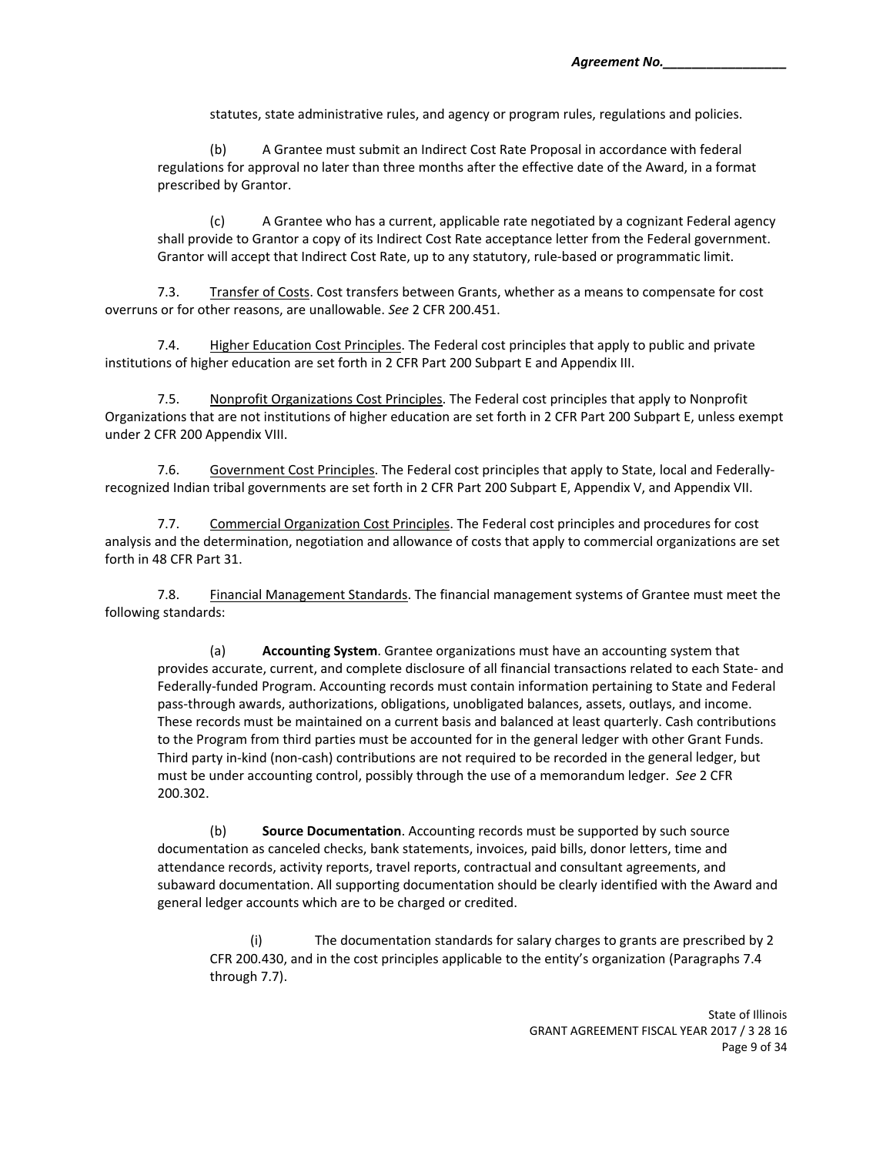statutes, state administrative rules, and agency or program rules, regulations and policies.

(b) A Grantee must submit an Indirect Cost Rate Proposal in accordance with federal regulations for approval no later than three months after the effective date of the Award, in a format prescribed by Grantor.

(c) A Grantee who has a current, applicable rate negotiated by a cognizant Federal agency shall provide to Grantor a copy of its Indirect Cost Rate acceptance letter from the Federal government. Grantor will accept that Indirect Cost Rate, up to any statutory, rule‐based or programmatic limit.

7.3. Transfer of Costs. Cost transfers between Grants, whether as a means to compensate for cost overruns or for other reasons, are unallowable. *See* 2 CFR 200.451.

7.4. Higher Education Cost Principles. The Federal cost principles that apply to public and private institutions of higher education are set forth in 2 CFR Part 200 Subpart E and Appendix III.

7.5. Nonprofit Organizations Cost Principles. The Federal cost principles that apply to Nonprofit Organizations that are not institutions of higher education are set forth in 2 CFR Part 200 Subpart E, unless exempt under 2 CFR 200 Appendix VIII.

7.6. Government Cost Principles. The Federal cost principles that apply to State, local and Federally‐ recognized Indian tribal governments are set forth in 2 CFR Part 200 Subpart E, Appendix V, and Appendix VII.

7.7. Commercial Organization Cost Principles. The Federal cost principles and procedures for cost analysis and the determination, negotiation and allowance of costs that apply to commercial organizations are set forth in 48 CFR Part 31.

7.8. **Financial Management Standards**. The financial management systems of Grantee must meet the following standards:

(a) **Accounting System**. Grantee organizations must have an accounting system that provides accurate, current, and complete disclosure of all financial transactions related to each State‐ and Federally‐funded Program. Accounting records must contain information pertaining to State and Federal pass‐through awards, authorizations, obligations, unobligated balances, assets, outlays, and income. These records must be maintained on a current basis and balanced at least quarterly. Cash contributions to the Program from third parties must be accounted for in the general ledger with other Grant Funds. Third party in‐kind (non‐cash) contributions are not required to be recorded in the general ledger, but must be under accounting control, possibly through the use of a memorandum ledger. *See* 2 CFR 200.302.

(b) **Source Documentation**. Accounting records must be supported by such source documentation as canceled checks, bank statements, invoices, paid bills, donor letters, time and attendance records, activity reports, travel reports, contractual and consultant agreements, and subaward documentation. All supporting documentation should be clearly identified with the Award and general ledger accounts which are to be charged or credited.

(i) The documentation standards for salary charges to grants are prescribed by 2 CFR 200.430, and in the cost principles applicable to the entity's organization (Paragraphs 7.4 through 7.7).

> State of Illinois GRANT AGREEMENT FISCAL YEAR 2017 / 3 28 16 Page 9 of 34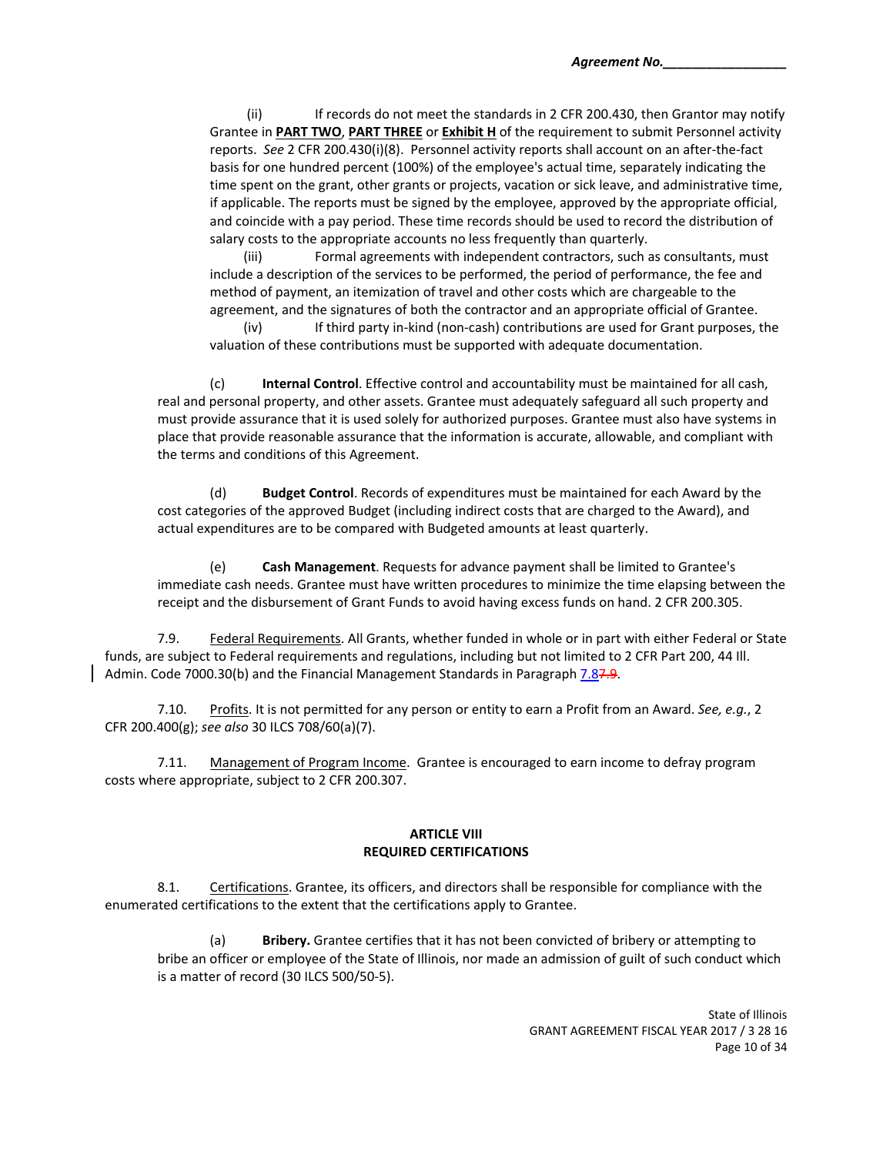(ii) If records do not meet the standards in 2 CFR 200.430, then Grantor may notify Grantee in **PART TWO**, **PART THREE** or **Exhibit H** of the requirement to submit Personnel activity reports. *See* 2 CFR 200.430(i)(8). Personnel activity reports shall account on an after‐the‐fact basis for one hundred percent (100%) of the employee's actual time, separately indicating the time spent on the grant, other grants or projects, vacation or sick leave, and administrative time, if applicable. The reports must be signed by the employee, approved by the appropriate official, and coincide with a pay period. These time records should be used to record the distribution of salary costs to the appropriate accounts no less frequently than quarterly.

(iii) Formal agreements with independent contractors, such as consultants, must include a description of the services to be performed, the period of performance, the fee and method of payment, an itemization of travel and other costs which are chargeable to the agreement, and the signatures of both the contractor and an appropriate official of Grantee.

(iv) If third party in‐kind (non‐cash) contributions are used for Grant purposes, the valuation of these contributions must be supported with adequate documentation.

(c) **Internal Control**. Effective control and accountability must be maintained for all cash, real and personal property, and other assets. Grantee must adequately safeguard all such property and must provide assurance that it is used solely for authorized purposes. Grantee must also have systems in place that provide reasonable assurance that the information is accurate, allowable, and compliant with the terms and conditions of this Agreement.

(d) **Budget Control**. Records of expenditures must be maintained for each Award by the cost categories of the approved Budget (including indirect costs that are charged to the Award), and actual expenditures are to be compared with Budgeted amounts at least quarterly.

(e) **Cash Management**. Requests for advance payment shall be limited to Grantee's immediate cash needs. Grantee must have written procedures to minimize the time elapsing between the receipt and the disbursement of Grant Funds to avoid having excess funds on hand. 2 CFR 200.305.

7.9. Federal Requirements. All Grants, whether funded in whole or in part with either Federal or State funds, are subject to Federal requirements and regulations, including but not limited to 2 CFR Part 200, 44 Ill. Admin. Code 7000.30(b) and the Financial Management Standards in Paragraph 7.87.9.

7.10. Profits. It is not permitted for any person or entity to earn a Profit from an Award. *See, e.g.*, 2 CFR 200.400(g); *see also* 30 ILCS 708/60(a)(7).

7.11. Management of Program Income. Grantee is encouraged to earn income to defray program costs where appropriate, subject to 2 CFR 200.307.

#### **ARTICLE VIII REQUIRED CERTIFICATIONS**

8.1. Certifications. Grantee, its officers, and directors shall be responsible for compliance with the enumerated certifications to the extent that the certifications apply to Grantee.

(a) **Bribery.** Grantee certifies that it has not been convicted of bribery or attempting to bribe an officer or employee of the State of Illinois, nor made an admission of guilt of such conduct which is a matter of record (30 ILCS 500/50‐5).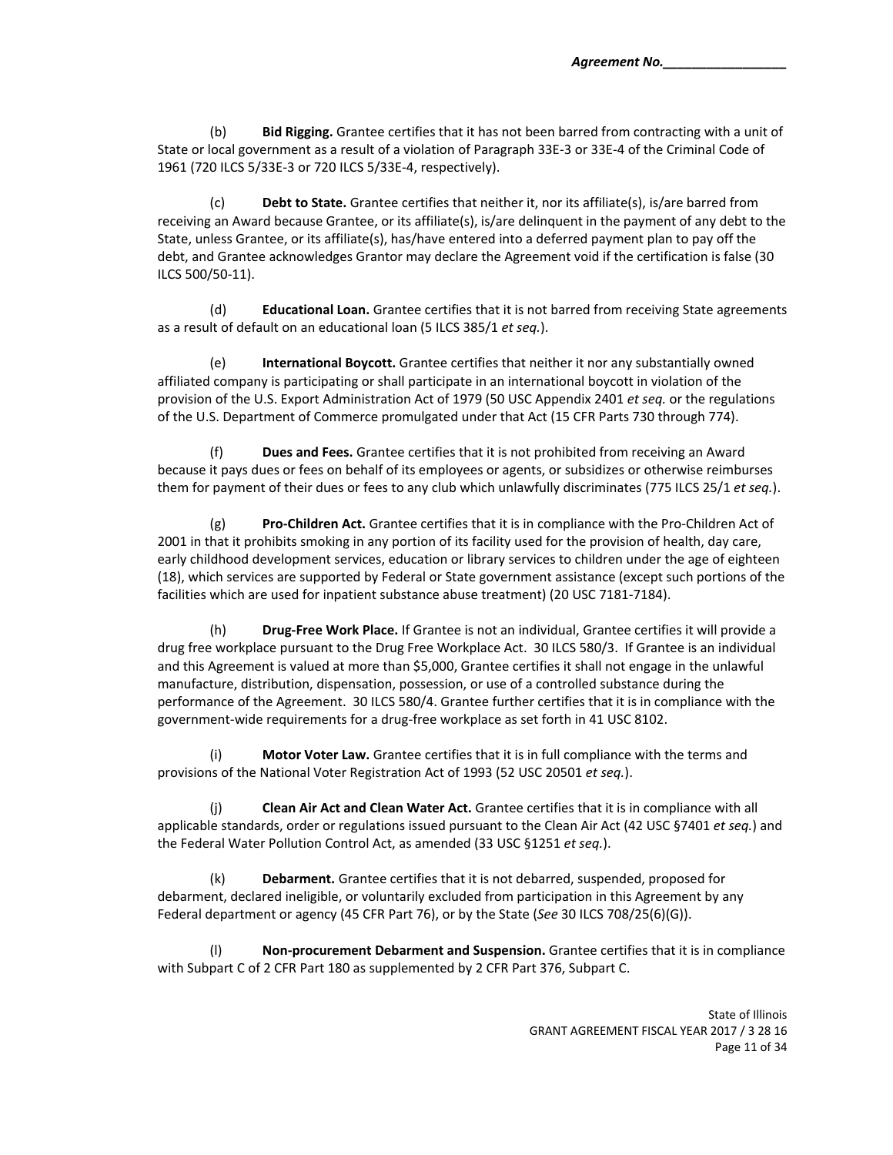(b) **Bid Rigging.** Grantee certifies that it has not been barred from contracting with a unit of State or local government as a result of a violation of Paragraph 33E‐3 or 33E‐4 of the Criminal Code of 1961 (720 ILCS 5/33E‐3 or 720 ILCS 5/33E‐4, respectively).

(c) **Debt to State.** Grantee certifies that neither it, nor its affiliate(s), is/are barred from receiving an Award because Grantee, or its affiliate(s), is/are delinquent in the payment of any debt to the State, unless Grantee, or its affiliate(s), has/have entered into a deferred payment plan to pay off the debt, and Grantee acknowledges Grantor may declare the Agreement void if the certification is false (30 ILCS 500/50‐11).

(d) **Educational Loan.** Grantee certifies that it is not barred from receiving State agreements as a result of default on an educational loan (5 ILCS 385/1 *et seq.*).

(e) **International Boycott.** Grantee certifies that neither it nor any substantially owned affiliated company is participating or shall participate in an international boycott in violation of the provision of the U.S. Export Administration Act of 1979 (50 USC Appendix 2401 *et seq.* or the regulations of the U.S. Department of Commerce promulgated under that Act (15 CFR Parts 730 through 774).

(f) **Dues and Fees.** Grantee certifies that it is not prohibited from receiving an Award because it pays dues or fees on behalf of its employees or agents, or subsidizes or otherwise reimburses them for payment of their dues or fees to any club which unlawfully discriminates (775 ILCS 25/1 *et seq.*).

(g) **Pro‐Children Act.** Grantee certifies that it is in compliance with the Pro‐Children Act of 2001 in that it prohibits smoking in any portion of its facility used for the provision of health, day care, early childhood development services, education or library services to children under the age of eighteen (18), which services are supported by Federal or State government assistance (except such portions of the facilities which are used for inpatient substance abuse treatment) (20 USC 7181-7184).

 (h) **Drug‐Free Work Place.** If Grantee is not an individual, Grantee certifies it will provide a drug free workplace pursuant to the Drug Free Workplace Act. 30 ILCS 580/3. If Grantee is an individual and this Agreement is valued at more than \$5,000, Grantee certifies it shall not engage in the unlawful manufacture, distribution, dispensation, possession, or use of a controlled substance during the performance of the Agreement. 30 ILCS 580/4. Grantee further certifies that it is in compliance with the government‐wide requirements for a drug‐free workplace as set forth in 41 USC 8102.

(i) **Motor Voter Law.** Grantee certifies that it is in full compliance with the terms and provisions of the National Voter Registration Act of 1993 (52 USC 20501 *et seq.*).

(j) **Clean Air Act and Clean Water Act.** Grantee certifies that it is in compliance with all applicable standards, order or regulations issued pursuant to the Clean Air Act (42 USC §7401 *et seq.*) and the Federal Water Pollution Control Act, as amended (33 USC §1251 *et seq.*).

(k) **Debarment.** Grantee certifies that it is not debarred, suspended, proposed for debarment, declared ineligible, or voluntarily excluded from participation in this Agreement by any Federal department or agency (45 CFR Part 76), or by the State (*See* 30 ILCS 708/25(6)(G)).

(l) **Non‐procurement Debarment and Suspension.** Grantee certifies that it is in compliance with Subpart C of 2 CFR Part 180 as supplemented by 2 CFR Part 376, Subpart C.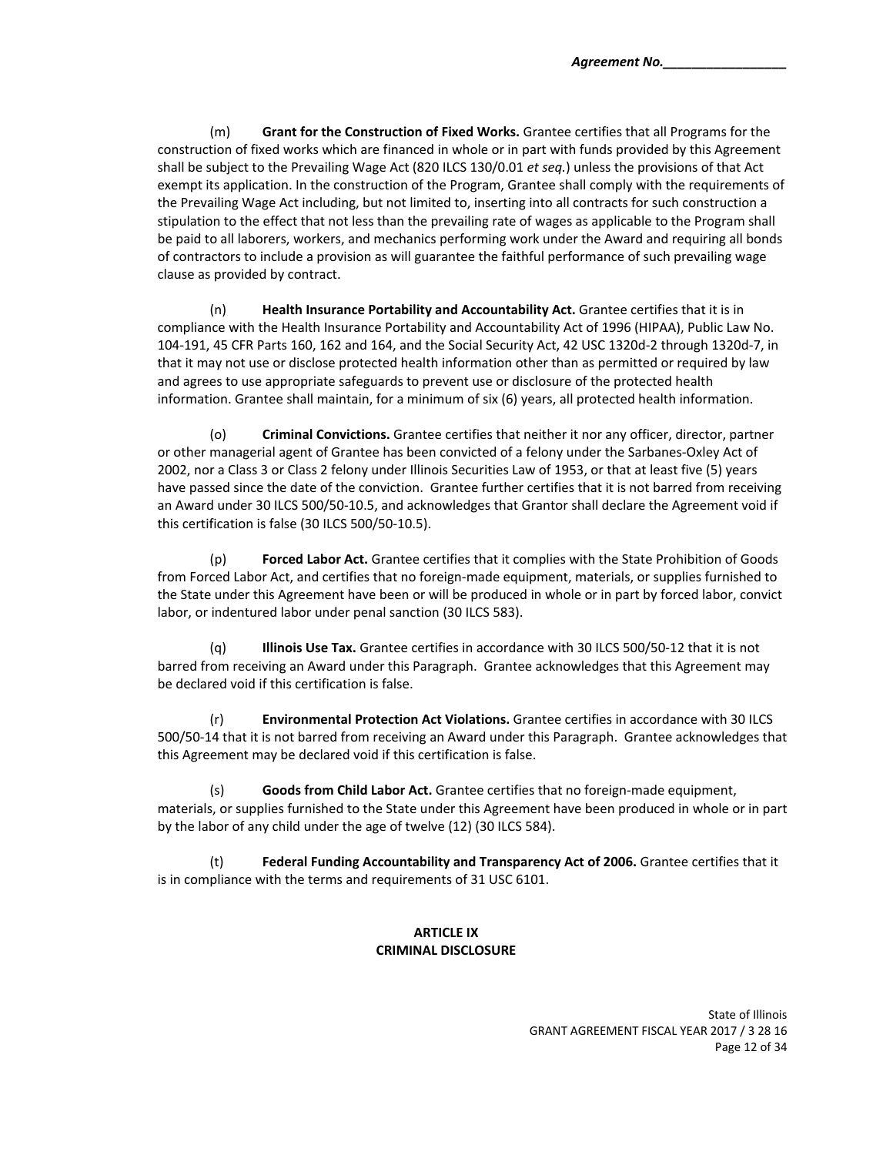(m) **Grant for the Construction of Fixed Works.** Grantee certifies that all Programs for the construction of fixed works which are financed in whole or in part with funds provided by this Agreement shall be subject to the Prevailing Wage Act (820 ILCS 130/0.01 *et seq.*) unless the provisions of that Act exempt its application. In the construction of the Program, Grantee shall comply with the requirements of the Prevailing Wage Act including, but not limited to, inserting into all contracts for such construction a stipulation to the effect that not less than the prevailing rate of wages as applicable to the Program shall be paid to all laborers, workers, and mechanics performing work under the Award and requiring all bonds of contractors to include a provision as will guarantee the faithful performance of such prevailing wage clause as provided by contract.

(n) **Health Insurance Portability and Accountability Act.** Grantee certifies that it is in compliance with the Health Insurance Portability and Accountability Act of 1996 (HIPAA), Public Law No. 104‐191, 45 CFR Parts 160, 162 and 164, and the Social Security Act, 42 USC 1320d‐2 through 1320d‐7, in that it may not use or disclose protected health information other than as permitted or required by law and agrees to use appropriate safeguards to prevent use or disclosure of the protected health information. Grantee shall maintain, for a minimum of six (6) years, all protected health information.

(o) **Criminal Convictions.** Grantee certifies that neither it nor any officer, director, partner or other managerial agent of Grantee has been convicted of a felony under the Sarbanes‐Oxley Act of 2002, nor a Class 3 or Class 2 felony under Illinois Securities Law of 1953, or that at least five (5) years have passed since the date of the conviction. Grantee further certifies that it is not barred from receiving an Award under 30 ILCS 500/50‐10.5, and acknowledges that Grantor shall declare the Agreement void if this certification is false (30 ILCS 500/50‐10.5).

 (p) **Forced Labor Act.** Grantee certifies that it complies with the State Prohibition of Goods from Forced Labor Act, and certifies that no foreign-made equipment, materials, or supplies furnished to the State under this Agreement have been or will be produced in whole or in part by forced labor, convict labor, or indentured labor under penal sanction (30 ILCS 583).

(q) **Illinois Use Tax.** Grantee certifies in accordance with 30 ILCS 500/50‐12 that it is not barred from receiving an Award under this Paragraph. Grantee acknowledges that this Agreement may be declared void if this certification is false.

(r) **Environmental Protection Act Violations.** Grantee certifies in accordance with 30 ILCS 500/50-14 that it is not barred from receiving an Award under this Paragraph. Grantee acknowledges that this Agreement may be declared void if this certification is false.

(s) **Goods from Child Labor Act.** Grantee certifies that no foreign‐made equipment, materials, or supplies furnished to the State under this Agreement have been produced in whole or in part by the labor of any child under the age of twelve (12) (30 ILCS 584).

(t) **Federal Funding Accountability and Transparency Act of 2006.** Grantee certifies that it is in compliance with the terms and requirements of 31 USC 6101.

# **ARTICLE IX CRIMINAL DISCLOSURE**

State of Illinois GRANT AGREEMENT FISCAL YEAR 2017 / 3 28 16 Page 12 of 34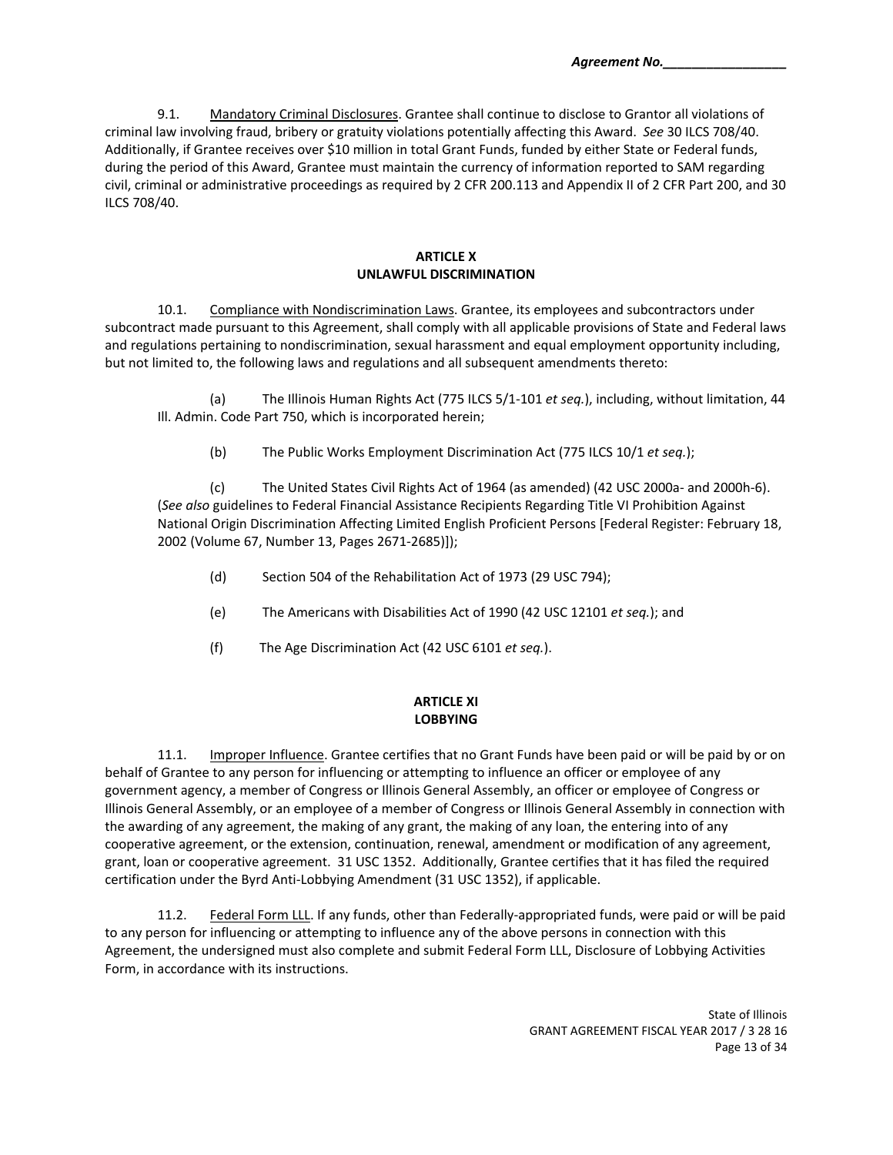9.1. Mandatory Criminal Disclosures. Grantee shall continue to disclose to Grantor all violations of criminal law involving fraud, bribery or gratuity violations potentially affecting this Award. *See* 30 ILCS 708/40. Additionally, if Grantee receives over \$10 million in total Grant Funds, funded by either State or Federal funds, during the period of this Award, Grantee must maintain the currency of information reported to SAM regarding civil, criminal or administrative proceedings as required by 2 CFR 200.113 and Appendix II of 2 CFR Part 200, and 30 ILCS 708/40.

#### **ARTICLE X UNLAWFUL DISCRIMINATION**

10.1. Compliance with Nondiscrimination Laws. Grantee, its employees and subcontractors under subcontract made pursuant to this Agreement, shall comply with all applicable provisions of State and Federal laws and regulations pertaining to nondiscrimination, sexual harassment and equal employment opportunity including, but not limited to, the following laws and regulations and all subsequent amendments thereto:

(a) The Illinois Human Rights Act (775 ILCS 5/1‐101 *et seq.*), including, without limitation, 44 Ill. Admin. Code Part 750, which is incorporated herein;

(b) The Public Works Employment Discrimination Act (775 ILCS 10/1 *et seq.*);

(c) The United States Civil Rights Act of 1964 (as amended) (42 USC 2000a‐ and 2000h‐6). (*See also* guidelines to Federal Financial Assistance Recipients Regarding Title VI Prohibition Against National Origin Discrimination Affecting Limited English Proficient Persons [Federal Register: February 18, 2002 (Volume 67, Number 13, Pages 2671‐2685)]);

- (d) Section 504 of the Rehabilitation Act of 1973 (29 USC 794);
- (e) The Americans with Disabilities Act of 1990 (42 USC 12101 *et seq.*); and
- (f) The Age Discrimination Act (42 USC 6101 *et seq.*).

# **ARTICLE XI LOBBYING**

11.1. Improper Influence. Grantee certifies that no Grant Funds have been paid or will be paid by or on behalf of Grantee to any person for influencing or attempting to influence an officer or employee of any government agency, a member of Congress or Illinois General Assembly, an officer or employee of Congress or Illinois General Assembly, or an employee of a member of Congress or Illinois General Assembly in connection with the awarding of any agreement, the making of any grant, the making of any loan, the entering into of any cooperative agreement, or the extension, continuation, renewal, amendment or modification of any agreement, grant, loan or cooperative agreement. 31 USC 1352. Additionally, Grantee certifies that it has filed the required certification under the Byrd Anti‐Lobbying Amendment (31 USC 1352), if applicable.

11.2. Federal Form LLL. If any funds, other than Federally-appropriated funds, were paid or will be paid to any person for influencing or attempting to influence any of the above persons in connection with this Agreement, the undersigned must also complete and submit Federal Form LLL, Disclosure of Lobbying Activities Form, in accordance with its instructions.

> State of Illinois GRANT AGREEMENT FISCAL YEAR 2017 / 3 28 16 Page 13 of 34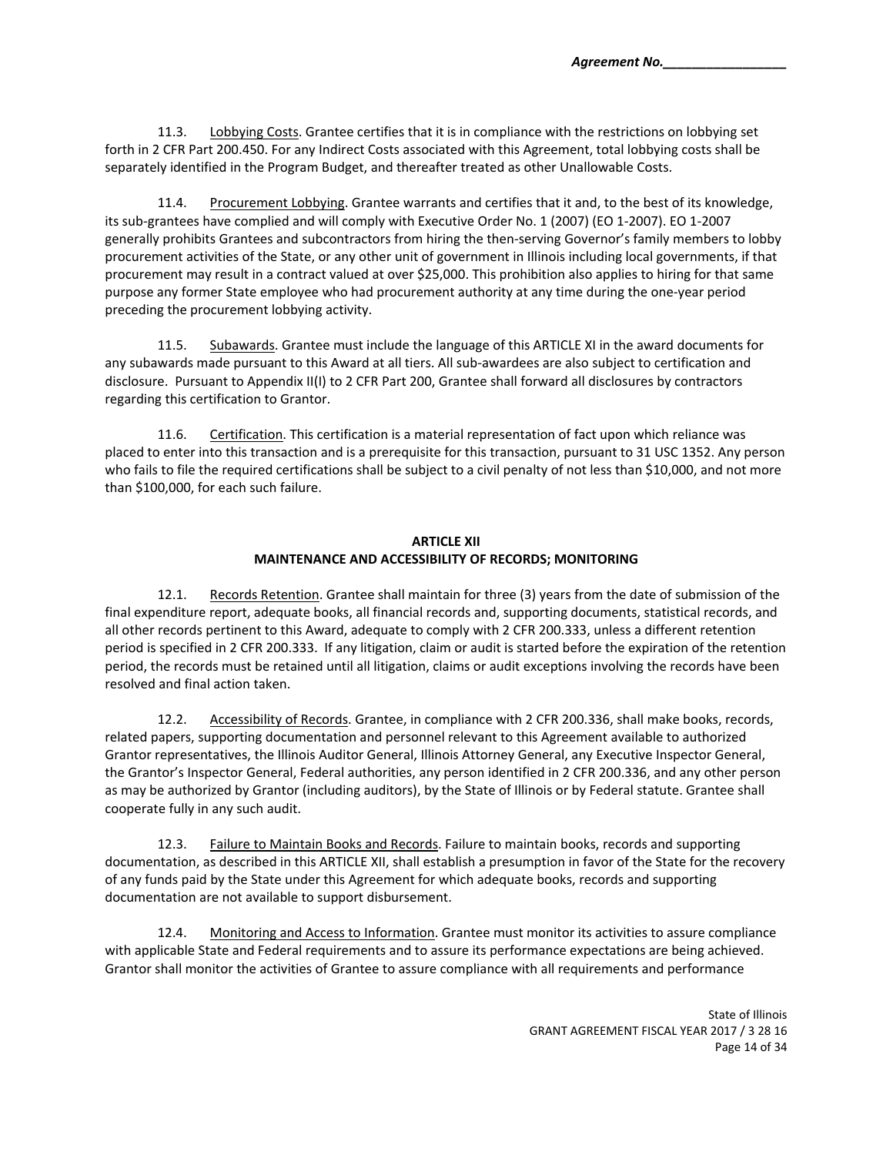11.3. Lobbying Costs. Grantee certifies that it is in compliance with the restrictions on lobbying set forth in 2 CFR Part 200.450. For any Indirect Costs associated with this Agreement, total lobbying costs shall be separately identified in the Program Budget, and thereafter treated as other Unallowable Costs.

11.4. Procurement Lobbying. Grantee warrants and certifies that it and, to the best of its knowledge, its sub‐grantees have complied and will comply with Executive Order No. 1 (2007) (EO 1‐2007). EO 1‐2007 generally prohibits Grantees and subcontractors from hiring the then-serving Governor's family members to lobby procurement activities of the State, or any other unit of government in Illinois including local governments, if that procurement may result in a contract valued at over \$25,000. This prohibition also applies to hiring for that same purpose any former State employee who had procurement authority at any time during the one‐year period preceding the procurement lobbying activity.

11.5. Subawards. Grantee must include the language of this ARTICLE XI in the award documents for any subawards made pursuant to this Award at all tiers. All sub‐awardees are also subject to certification and disclosure. Pursuant to Appendix II(I) to 2 CFR Part 200, Grantee shall forward all disclosures by contractors regarding this certification to Grantor.

11.6. Certification. This certification is a material representation of fact upon which reliance was placed to enter into this transaction and is a prerequisite for this transaction, pursuant to 31 USC 1352. Any person who fails to file the required certifications shall be subject to a civil penalty of not less than \$10,000, and not more than \$100,000, for each such failure.

## **ARTICLE XII MAINTENANCE AND ACCESSIBILITY OF RECORDS; MONITORING**

12.1. Records Retention. Grantee shall maintain for three (3) years from the date of submission of the final expenditure report, adequate books, all financial records and, supporting documents, statistical records, and all other records pertinent to this Award, adequate to comply with 2 CFR 200.333, unless a different retention period is specified in 2 CFR 200.333. If any litigation, claim or audit is started before the expiration of the retention period, the records must be retained until all litigation, claims or audit exceptions involving the records have been resolved and final action taken.

12.2. Accessibility of Records. Grantee, in compliance with 2 CFR 200.336, shall make books, records, related papers, supporting documentation and personnel relevant to this Agreement available to authorized Grantor representatives, the Illinois Auditor General, Illinois Attorney General, any Executive Inspector General, the Grantor's Inspector General, Federal authorities, any person identified in 2 CFR 200.336, and any other person as may be authorized by Grantor (including auditors), by the State of Illinois or by Federal statute. Grantee shall cooperate fully in any such audit.

12.3. Failure to Maintain Books and Records. Failure to maintain books, records and supporting documentation, as described in this ARTICLE XII, shall establish a presumption in favor of the State for the recovery of any funds paid by the State under this Agreement for which adequate books, records and supporting documentation are not available to support disbursement.

12.4. Monitoring and Access to Information. Grantee must monitor its activities to assure compliance with applicable State and Federal requirements and to assure its performance expectations are being achieved. Grantor shall monitor the activities of Grantee to assure compliance with all requirements and performance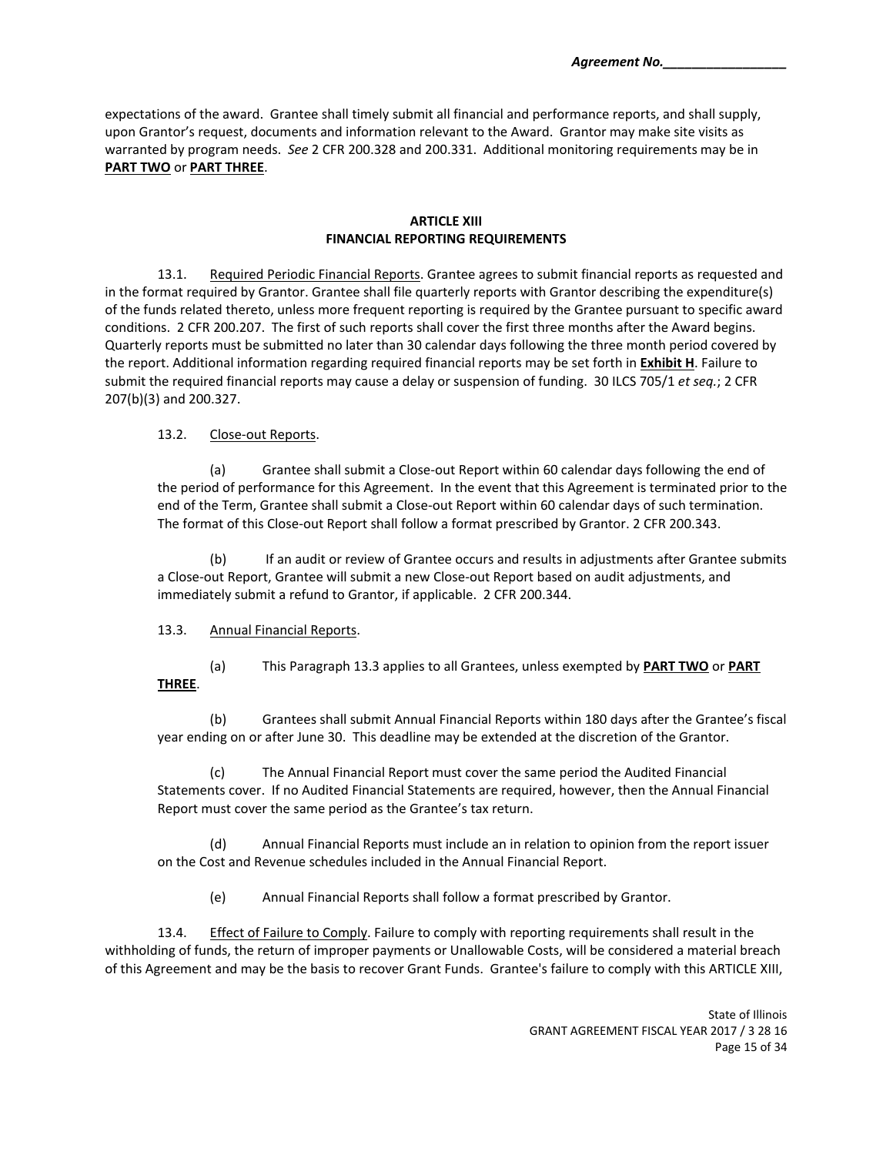expectations of the award. Grantee shall timely submit all financial and performance reports, and shall supply, upon Grantor's request, documents and information relevant to the Award. Grantor may make site visits as warranted by program needs. *See* 2 CFR 200.328 and 200.331. Additional monitoring requirements may be in **PART TWO** or **PART THREE**.

## **ARTICLE XIII FINANCIAL REPORTING REQUIREMENTS**

13.1. Required Periodic Financial Reports. Grantee agrees to submit financial reports as requested and in the format required by Grantor. Grantee shall file quarterly reports with Grantor describing the expenditure(s) of the funds related thereto, unless more frequent reporting is required by the Grantee pursuant to specific award conditions. 2 CFR 200.207. The first of such reports shall cover the first three months after the Award begins. Quarterly reports must be submitted no later than 30 calendar days following the three month period covered by the report. Additional information regarding required financial reports may be set forth in **Exhibit H**. Failure to submit the required financial reports may cause a delay or suspension of funding. 30 ILCS 705/1 *et seq.*; 2 CFR 207(b)(3) and 200.327.

## 13.2. Close-out Reports.

(a) Grantee shall submit a Close‐out Report within 60 calendar days following the end of the period of performance for this Agreement. In the event that this Agreement is terminated prior to the end of the Term, Grantee shall submit a Close-out Report within 60 calendar days of such termination. The format of this Close-out Report shall follow a format prescribed by Grantor. 2 CFR 200.343.

(b) If an audit or review of Grantee occurs and results in adjustments after Grantee submits a Close‐out Report, Grantee will submit a new Close‐out Report based on audit adjustments, and immediately submit a refund to Grantor, if applicable. 2 CFR 200.344.

### 13.3. Annual Financial Reports.

(a) This Paragraph 13.3 applies to all Grantees, unless exempted by **PART TWO** or **PART THREE**.

(b) Grantees shall submit Annual Financial Reports within 180 days after the Grantee's fiscal year ending on or after June 30. This deadline may be extended at the discretion of the Grantor.

(c) The Annual Financial Report must cover the same period the Audited Financial Statements cover. If no Audited Financial Statements are required, however, then the Annual Financial Report must cover the same period as the Grantee's tax return.

(d) Annual Financial Reports must include an in relation to opinion from the report issuer on the Cost and Revenue schedules included in the Annual Financial Report.

(e) Annual Financial Reports shall follow a format prescribed by Grantor.

13.4. Effect of Failure to Comply. Failure to comply with reporting requirements shall result in the withholding of funds, the return of improper payments or Unallowable Costs, will be considered a material breach of this Agreement and may be the basis to recover Grant Funds. Grantee's failure to comply with this ARTICLE XIII,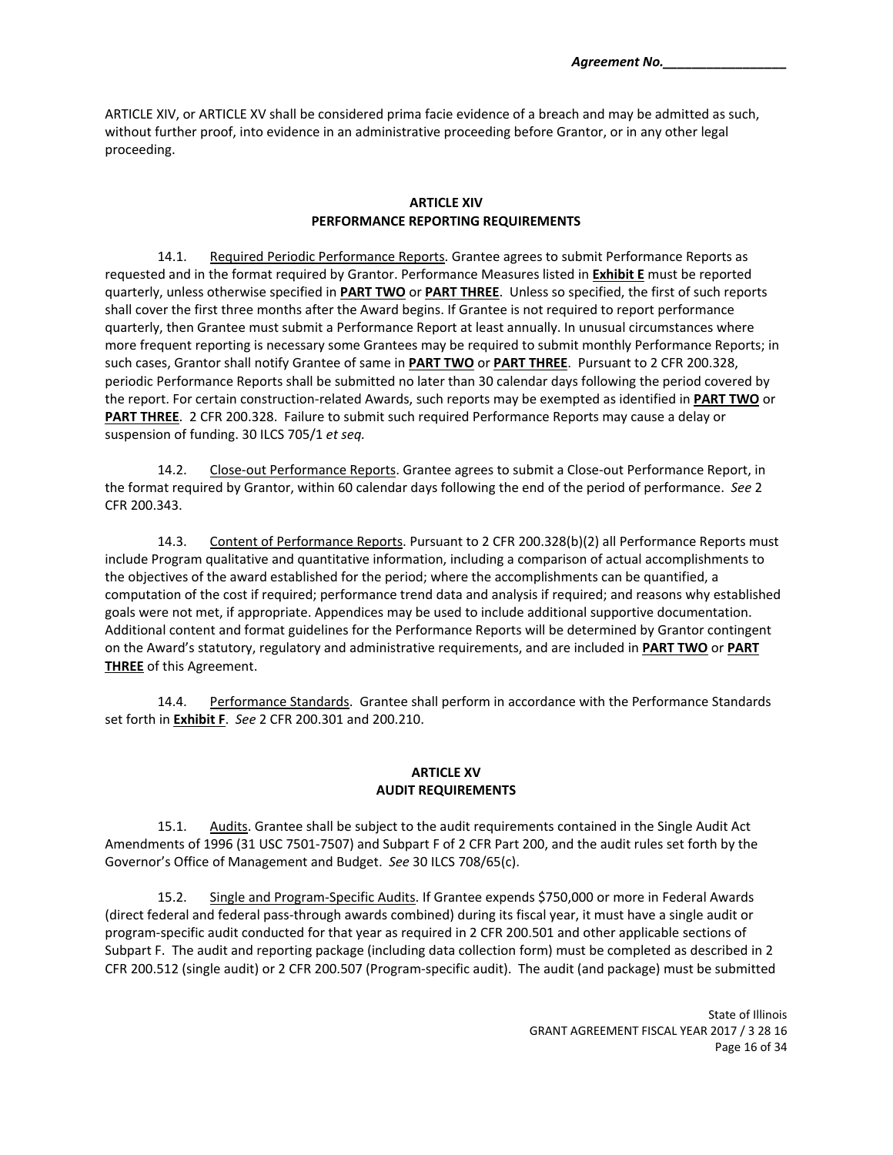ARTICLE XIV, or ARTICLE XV shall be considered prima facie evidence of a breach and may be admitted as such, without further proof, into evidence in an administrative proceeding before Grantor, or in any other legal proceeding.

#### **ARTICLE XIV PERFORMANCE REPORTING REQUIREMENTS**

14.1. Required Periodic Performance Reports. Grantee agrees to submit Performance Reports as requested and in the format required by Grantor. Performance Measures listed in **Exhibit E** must be reported quarterly, unless otherwise specified in **PART TWO** or **PART THREE**. Unless so specified, the first of such reports shall cover the first three months after the Award begins. If Grantee is not required to report performance quarterly, then Grantee must submit a Performance Report at least annually. In unusual circumstances where more frequent reporting is necessary some Grantees may be required to submit monthly Performance Reports; in such cases, Grantor shall notify Grantee of same in **PART TWO** or **PART THREE**. Pursuant to 2 CFR 200.328, periodic Performance Reports shall be submitted no later than 30 calendar days following the period covered by the report. For certain construction‐related Awards, such reports may be exempted as identified in **PART TWO** or **PART THREE**. 2 CFR 200.328. Failure to submit such required Performance Reports may cause a delay or suspension of funding. 30 ILCS 705/1 *et seq.*

14.2. Close-out Performance Reports. Grantee agrees to submit a Close-out Performance Report, in the format required by Grantor, within 60 calendar days following the end of the period of performance. *See* 2 CFR 200.343.

14.3. Content of Performance Reports. Pursuant to 2 CFR 200.328(b)(2) all Performance Reports must include Program qualitative and quantitative information, including a comparison of actual accomplishments to the objectives of the award established for the period; where the accomplishments can be quantified, a computation of the cost if required; performance trend data and analysis if required; and reasons why established goals were not met, if appropriate. Appendices may be used to include additional supportive documentation. Additional content and format guidelines for the Performance Reports will be determined by Grantor contingent on the Award's statutory, regulatory and administrative requirements, and are included in **PART TWO** or **PART THREE** of this Agreement.

14.4. Performance Standards. Grantee shall perform in accordance with the Performance Standards set forth in **Exhibit F**. *See* 2 CFR 200.301 and 200.210.

## **ARTICLE XV AUDIT REQUIREMENTS**

15.1. Audits. Grantee shall be subject to the audit requirements contained in the Single Audit Act Amendments of 1996 (31 USC 7501‐7507) and Subpart F of 2 CFR Part 200, and the audit rules set forth by the Governor's Office of Management and Budget. *See* 30 ILCS 708/65(c).

15.2. Single and Program-Specific Audits. If Grantee expends \$750,000 or more in Federal Awards (direct federal and federal pass‐through awards combined) during its fiscal year, it must have a single audit or program‐specific audit conducted for that year as required in 2 CFR 200.501 and other applicable sections of Subpart F. The audit and reporting package (including data collection form) must be completed as described in 2 CFR 200.512 (single audit) or 2 CFR 200.507 (Program‐specific audit). The audit (and package) must be submitted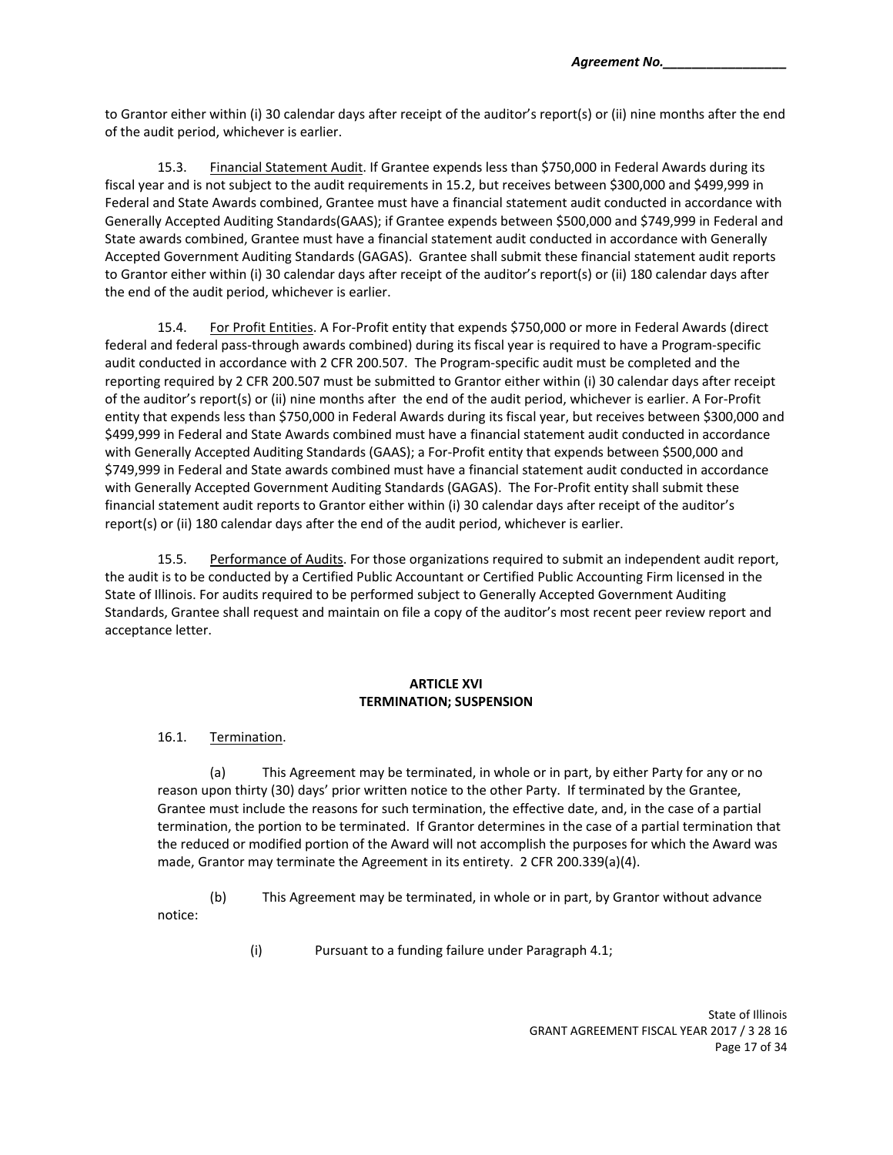to Grantor either within (i) 30 calendar days after receipt of the auditor's report(s) or (ii) nine months after the end of the audit period, whichever is earlier.

15.3. Financial Statement Audit. If Grantee expends less than \$750,000 in Federal Awards during its fiscal year and is not subject to the audit requirements in 15.2, but receives between \$300,000 and \$499,999 in Federal and State Awards combined, Grantee must have a financial statement audit conducted in accordance with Generally Accepted Auditing Standards(GAAS); if Grantee expends between \$500,000 and \$749,999 in Federal and State awards combined, Grantee must have a financial statement audit conducted in accordance with Generally Accepted Government Auditing Standards (GAGAS). Grantee shall submit these financial statement audit reports to Grantor either within (i) 30 calendar days after receipt of the auditor's report(s) or (ii) 180 calendar days after the end of the audit period, whichever is earlier.

15.4. For Profit Entities. A For-Profit entity that expends \$750,000 or more in Federal Awards (direct federal and federal pass‐through awards combined) during its fiscal year is required to have a Program‐specific audit conducted in accordance with 2 CFR 200.507. The Program‐specific audit must be completed and the reporting required by 2 CFR 200.507 must be submitted to Grantor either within (i) 30 calendar days after receipt of the auditor's report(s) or (ii) nine months after the end of the audit period, whichever is earlier. A For‐Profit entity that expends less than \$750,000 in Federal Awards during its fiscal year, but receives between \$300,000 and \$499,999 in Federal and State Awards combined must have a financial statement audit conducted in accordance with Generally Accepted Auditing Standards (GAAS); a For-Profit entity that expends between \$500,000 and \$749,999 in Federal and State awards combined must have a financial statement audit conducted in accordance with Generally Accepted Government Auditing Standards (GAGAS). The For‐Profit entity shall submit these financial statement audit reports to Grantor either within (i) 30 calendar days after receipt of the auditor's report(s) or (ii) 180 calendar days after the end of the audit period, whichever is earlier.

15.5. Performance of Audits. For those organizations required to submit an independent audit report, the audit is to be conducted by a Certified Public Accountant or Certified Public Accounting Firm licensed in the State of Illinois. For audits required to be performed subject to Generally Accepted Government Auditing Standards, Grantee shall request and maintain on file a copy of the auditor's most recent peer review report and acceptance letter.

### **ARTICLE XVI TERMINATION; SUSPENSION**

### 16.1. Termination.

(a) This Agreement may be terminated, in whole or in part, by either Party for any or no reason upon thirty (30) days' prior written notice to the other Party. If terminated by the Grantee, Grantee must include the reasons for such termination, the effective date, and, in the case of a partial termination, the portion to be terminated. If Grantor determines in the case of a partial termination that the reduced or modified portion of the Award will not accomplish the purposes for which the Award was made, Grantor may terminate the Agreement in its entirety. 2 CFR 200.339(a)(4).

(b) This Agreement may be terminated, in whole or in part, by Grantor without advance notice:

(i) Pursuant to a funding failure under Paragraph 4.1;

State of Illinois GRANT AGREEMENT FISCAL YEAR 2017 / 3 28 16 Page 17 of 34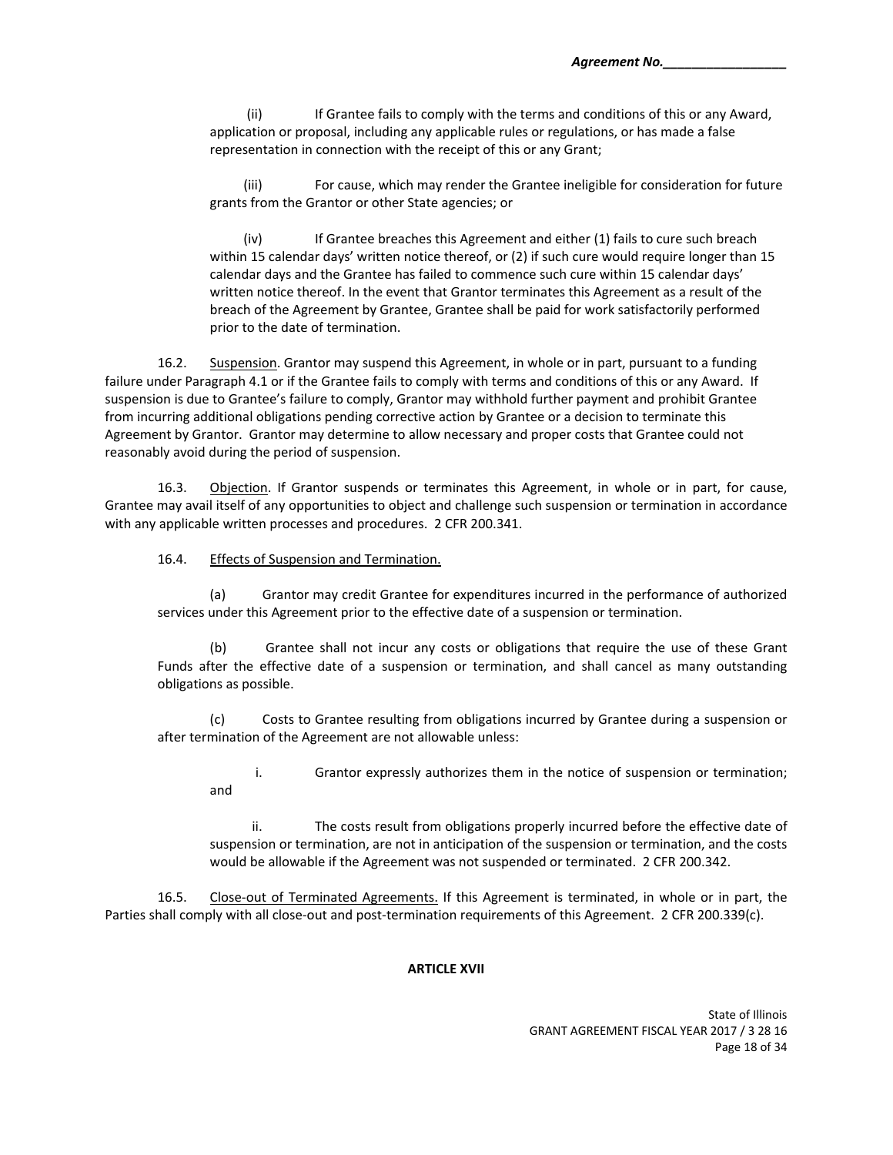(ii) If Grantee fails to comply with the terms and conditions of this or any Award, application or proposal, including any applicable rules or regulations, or has made a false representation in connection with the receipt of this or any Grant;

(iii) For cause, which may render the Grantee ineligible for consideration for future grants from the Grantor or other State agencies; or

(iv) If Grantee breaches this Agreement and either (1) fails to cure such breach within 15 calendar days' written notice thereof, or (2) if such cure would require longer than 15 calendar days and the Grantee has failed to commence such cure within 15 calendar days' written notice thereof. In the event that Grantor terminates this Agreement as a result of the breach of the Agreement by Grantee, Grantee shall be paid for work satisfactorily performed prior to the date of termination.

16.2. Suspension. Grantor may suspend this Agreement, in whole or in part, pursuant to a funding failure under Paragraph 4.1 or if the Grantee fails to comply with terms and conditions of this or any Award. If suspension is due to Grantee's failure to comply, Grantor may withhold further payment and prohibit Grantee from incurring additional obligations pending corrective action by Grantee or a decision to terminate this Agreement by Grantor. Grantor may determine to allow necessary and proper costs that Grantee could not reasonably avoid during the period of suspension.

16.3. Objection. If Grantor suspends or terminates this Agreement, in whole or in part, for cause, Grantee may avail itself of any opportunities to object and challenge such suspension or termination in accordance with any applicable written processes and procedures. 2 CFR 200.341.

16.4. Effects of Suspension and Termination.

(a) Grantor may credit Grantee for expenditures incurred in the performance of authorized services under this Agreement prior to the effective date of a suspension or termination.

(b) Grantee shall not incur any costs or obligations that require the use of these Grant Funds after the effective date of a suspension or termination, and shall cancel as many outstanding obligations as possible.

(c) Costs to Grantee resulting from obligations incurred by Grantee during a suspension or after termination of the Agreement are not allowable unless:

i. Grantor expressly authorizes them in the notice of suspension or termination; and

ii. The costs result from obligations properly incurred before the effective date of suspension or termination, are not in anticipation of the suspension or termination, and the costs would be allowable if the Agreement was not suspended or terminated. 2 CFR 200.342.

16.5. Close-out of Terminated Agreements. If this Agreement is terminated, in whole or in part, the Parties shall comply with all close-out and post-termination requirements of this Agreement. 2 CFR 200.339(c).

#### **ARTICLE XVII**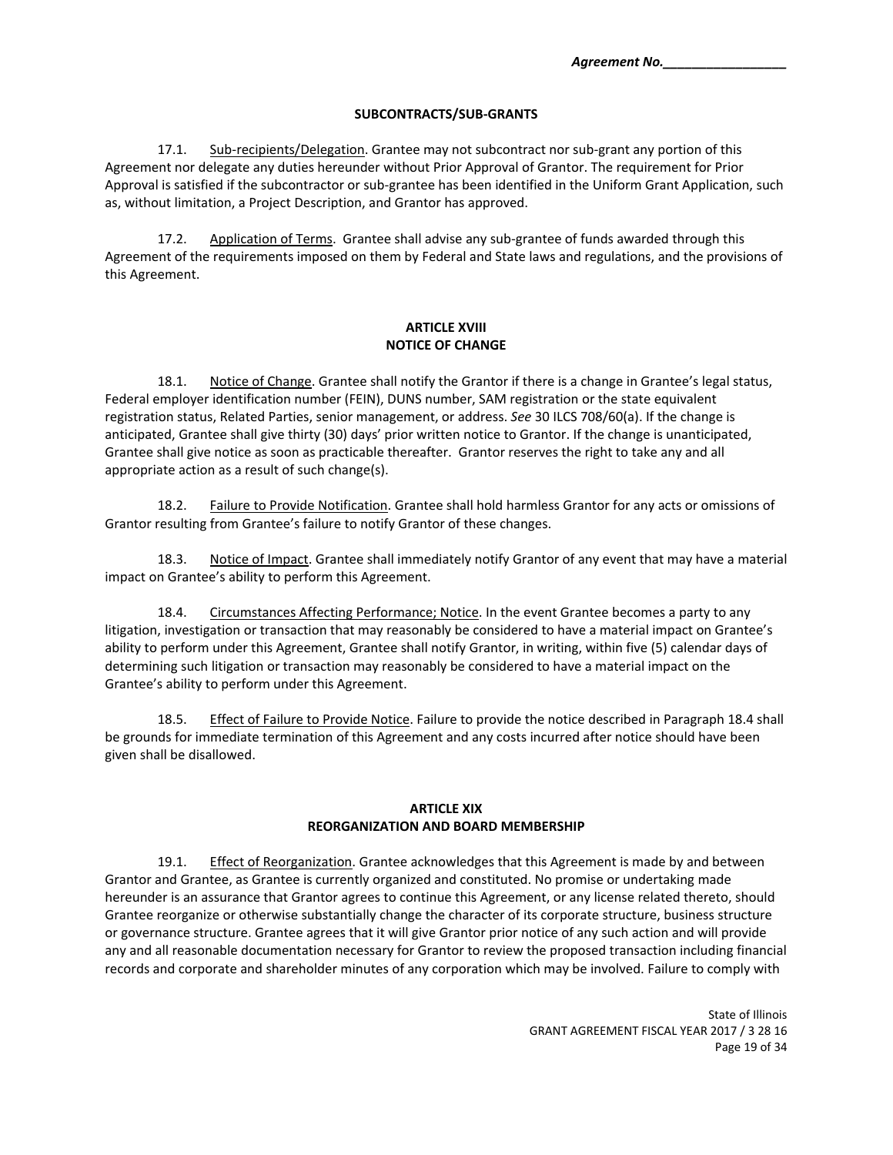#### **SUBCONTRACTS/SUB‐GRANTS**

17.1. Sub-recipients/Delegation. Grantee may not subcontract nor sub-grant any portion of this Agreement nor delegate any duties hereunder without Prior Approval of Grantor. The requirement for Prior Approval is satisfied if the subcontractor or sub‐grantee has been identified in the Uniform Grant Application, such as, without limitation, a Project Description, and Grantor has approved.

17.2. Application of Terms. Grantee shall advise any sub-grantee of funds awarded through this Agreement of the requirements imposed on them by Federal and State laws and regulations, and the provisions of this Agreement.

#### **ARTICLE XVIII NOTICE OF CHANGE**

18.1. Notice of Change. Grantee shall notify the Grantor if there is a change in Grantee's legal status, Federal employer identification number (FEIN), DUNS number, SAM registration or the state equivalent registration status, Related Parties, senior management, or address. *See* 30 ILCS 708/60(a). If the change is anticipated, Grantee shall give thirty (30) days' prior written notice to Grantor. If the change is unanticipated, Grantee shall give notice as soon as practicable thereafter. Grantor reserves the right to take any and all appropriate action as a result of such change(s).

18.2. Failure to Provide Notification. Grantee shall hold harmless Grantor for any acts or omissions of Grantor resulting from Grantee's failure to notify Grantor of these changes.

18.3. Notice of Impact. Grantee shall immediately notify Grantor of any event that may have a material impact on Grantee's ability to perform this Agreement.

18.4. Circumstances Affecting Performance; Notice. In the event Grantee becomes a party to any litigation, investigation or transaction that may reasonably be considered to have a material impact on Grantee's ability to perform under this Agreement, Grantee shall notify Grantor, in writing, within five (5) calendar days of determining such litigation or transaction may reasonably be considered to have a material impact on the Grantee's ability to perform under this Agreement.

18.5. Effect of Failure to Provide Notice. Failure to provide the notice described in Paragraph 18.4 shall be grounds for immediate termination of this Agreement and any costs incurred after notice should have been given shall be disallowed.

#### **ARTICLE XIX REORGANIZATION AND BOARD MEMBERSHIP**

19.1. Effect of Reorganization. Grantee acknowledges that this Agreement is made by and between Grantor and Grantee, as Grantee is currently organized and constituted. No promise or undertaking made hereunder is an assurance that Grantor agrees to continue this Agreement, or any license related thereto, should Grantee reorganize or otherwise substantially change the character of its corporate structure, business structure or governance structure. Grantee agrees that it will give Grantor prior notice of any such action and will provide any and all reasonable documentation necessary for Grantor to review the proposed transaction including financial records and corporate and shareholder minutes of any corporation which may be involved. Failure to comply with

> State of Illinois GRANT AGREEMENT FISCAL YEAR 2017 / 3 28 16 Page 19 of 34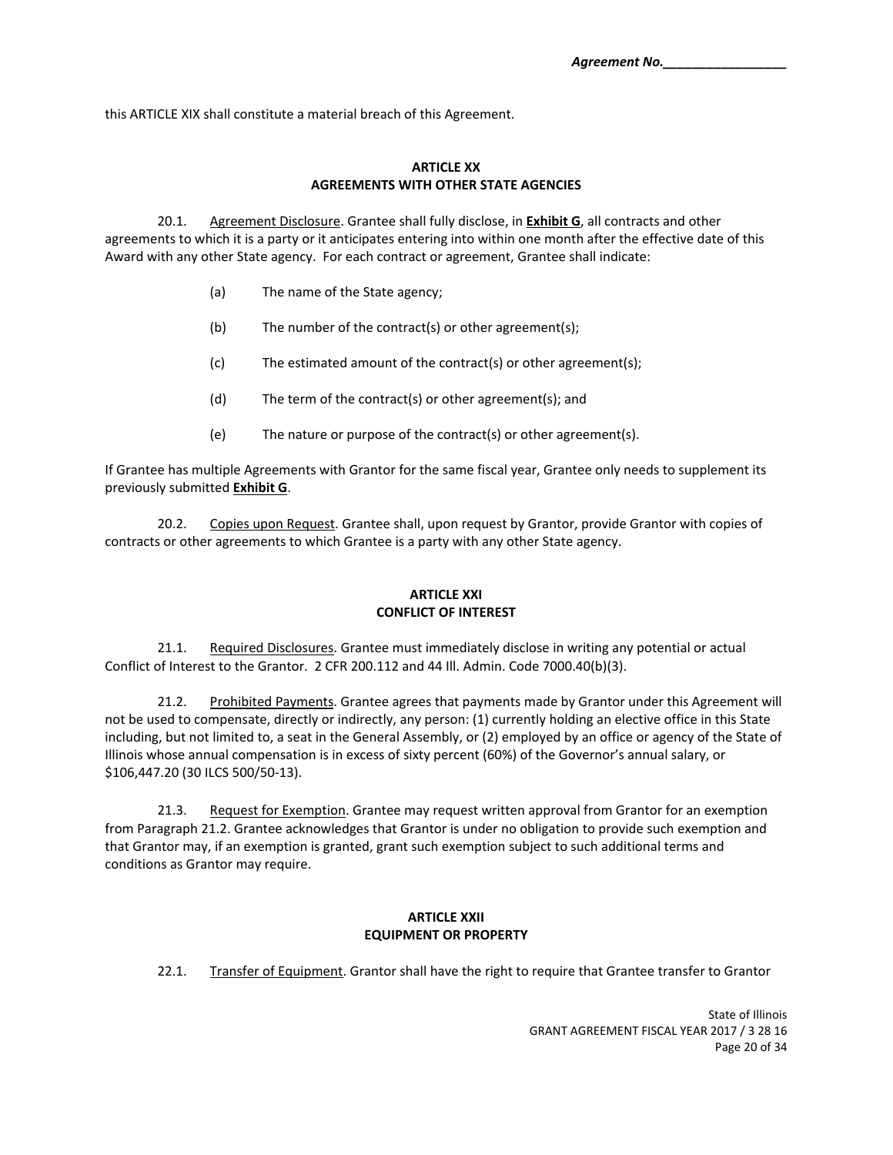this ARTICLE XIX shall constitute a material breach of this Agreement.

# **ARTICLE XX AGREEMENTS WITH OTHER STATE AGENCIES**

20.1. Agreement Disclosure. Grantee shall fully disclose, in **Exhibit G**, all contracts and other agreements to which it is a party or it anticipates entering into within one month after the effective date of this Award with any other State agency. For each contract or agreement, Grantee shall indicate:

- (a) The name of the State agency;
- (b) The number of the contract(s) or other agreement(s);
- (c) The estimated amount of the contract(s) or other agreement(s);
- (d) The term of the contract(s) or other agreement(s); and
- (e) The nature or purpose of the contract(s) or other agreement(s).

If Grantee has multiple Agreements with Grantor for the same fiscal year, Grantee only needs to supplement its previously submitted **Exhibit G**.

20.2. Copies upon Request. Grantee shall, upon request by Grantor, provide Grantor with copies of contracts or other agreements to which Grantee is a party with any other State agency.

#### **ARTICLE XXI CONFLICT OF INTEREST**

21.1. Required Disclosures. Grantee must immediately disclose in writing any potential or actual Conflict of Interest to the Grantor. 2 CFR 200.112 and 44 Ill. Admin. Code 7000.40(b)(3).

21.2. Prohibited Payments. Grantee agrees that payments made by Grantor under this Agreement will not be used to compensate, directly or indirectly, any person: (1) currently holding an elective office in this State including, but not limited to, a seat in the General Assembly, or (2) employed by an office or agency of the State of Illinois whose annual compensation is in excess of sixty percent (60%) of the Governor's annual salary, or \$106,447.20 (30 ILCS 500/50‐13).

21.3. Request for Exemption. Grantee may request written approval from Grantor for an exemption from Paragraph 21.2. Grantee acknowledges that Grantor is under no obligation to provide such exemption and that Grantor may, if an exemption is granted, grant such exemption subject to such additional terms and conditions as Grantor may require.

#### **ARTICLE XXII EQUIPMENT OR PROPERTY**

22.1. Transfer of Equipment. Grantor shall have the right to require that Grantee transfer to Grantor

State of Illinois GRANT AGREEMENT FISCAL YEAR 2017 / 3 28 16 Page 20 of 34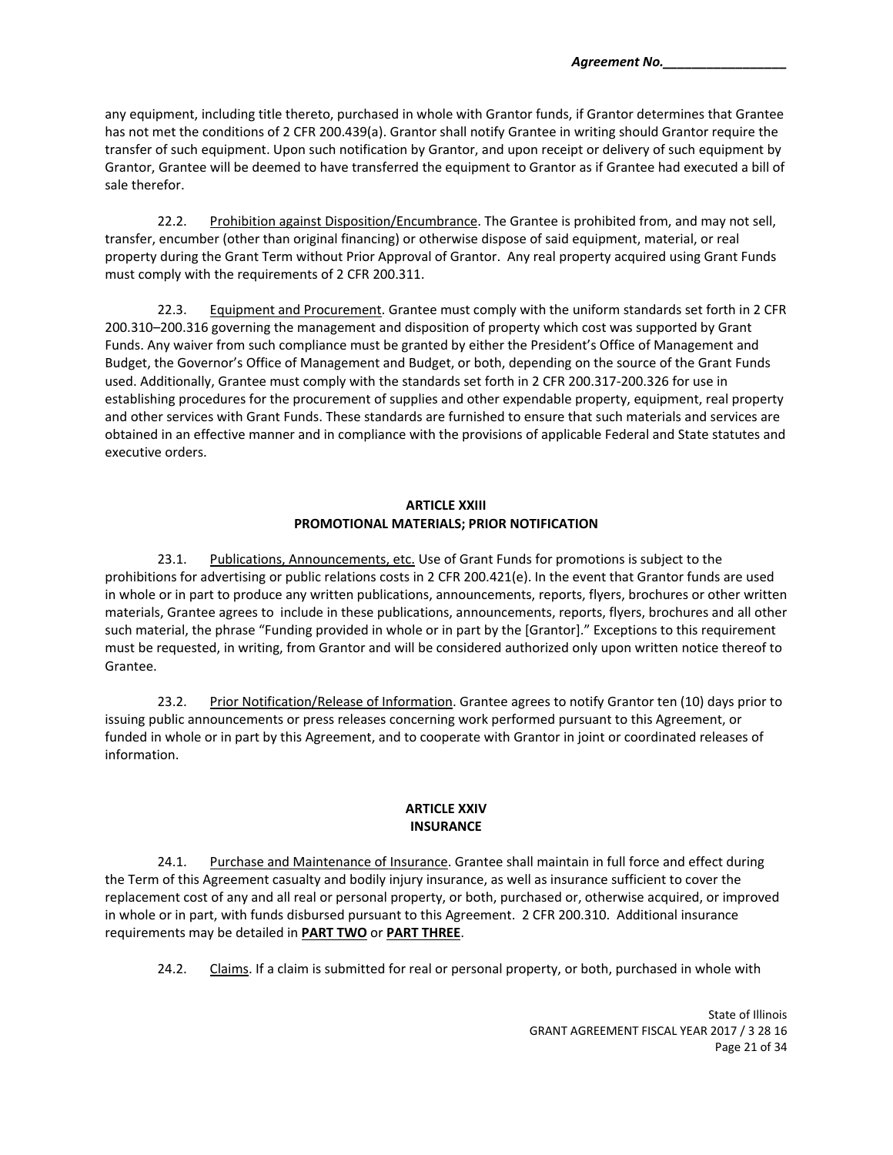any equipment, including title thereto, purchased in whole with Grantor funds, if Grantor determines that Grantee has not met the conditions of 2 CFR 200.439(a). Grantor shall notify Grantee in writing should Grantor require the transfer of such equipment. Upon such notification by Grantor, and upon receipt or delivery of such equipment by Grantor, Grantee will be deemed to have transferred the equipment to Grantor as if Grantee had executed a bill of sale therefor.

22.2. Prohibition against Disposition/Encumbrance. The Grantee is prohibited from, and may not sell, transfer, encumber (other than original financing) or otherwise dispose of said equipment, material, or real property during the Grant Term without Prior Approval of Grantor. Any real property acquired using Grant Funds must comply with the requirements of 2 CFR 200.311.

22.3. Equipment and Procurement. Grantee must comply with the uniform standards set forth in 2 CFR 200.310–200.316 governing the management and disposition of property which cost was supported by Grant Funds. Any waiver from such compliance must be granted by either the President's Office of Management and Budget, the Governor's Office of Management and Budget, or both, depending on the source of the Grant Funds used. Additionally, Grantee must comply with the standards set forth in 2 CFR 200.317‐200.326 for use in establishing procedures for the procurement of supplies and other expendable property, equipment, real property and other services with Grant Funds. These standards are furnished to ensure that such materials and services are obtained in an effective manner and in compliance with the provisions of applicable Federal and State statutes and executive orders.

## **ARTICLE XXIII PROMOTIONAL MATERIALS; PRIOR NOTIFICATION**

23.1. Publications, Announcements, etc. Use of Grant Funds for promotions is subject to the prohibitions for advertising or public relations costs in 2 CFR 200.421(e). In the event that Grantor funds are used in whole or in part to produce any written publications, announcements, reports, flyers, brochures or other written materials, Grantee agrees to include in these publications, announcements, reports, flyers, brochures and all other such material, the phrase "Funding provided in whole or in part by the [Grantor]." Exceptions to this requirement must be requested, in writing, from Grantor and will be considered authorized only upon written notice thereof to Grantee.

23.2. Prior Notification/Release of Information. Grantee agrees to notify Grantor ten (10) days prior to issuing public announcements or press releases concerning work performed pursuant to this Agreement, or funded in whole or in part by this Agreement, and to cooperate with Grantor in joint or coordinated releases of information.

# **ARTICLE XXIV INSURANCE**

24.1. Purchase and Maintenance of Insurance. Grantee shall maintain in full force and effect during the Term of this Agreement casualty and bodily injury insurance, as well as insurance sufficient to cover the replacement cost of any and all real or personal property, or both, purchased or, otherwise acquired, or improved in whole or in part, with funds disbursed pursuant to this Agreement. 2 CFR 200.310. Additional insurance requirements may be detailed in **PART TWO** or **PART THREE**.

24.2. Claims. If a claim is submitted for real or personal property, or both, purchased in whole with

State of Illinois GRANT AGREEMENT FISCAL YEAR 2017 / 3 28 16 Page 21 of 34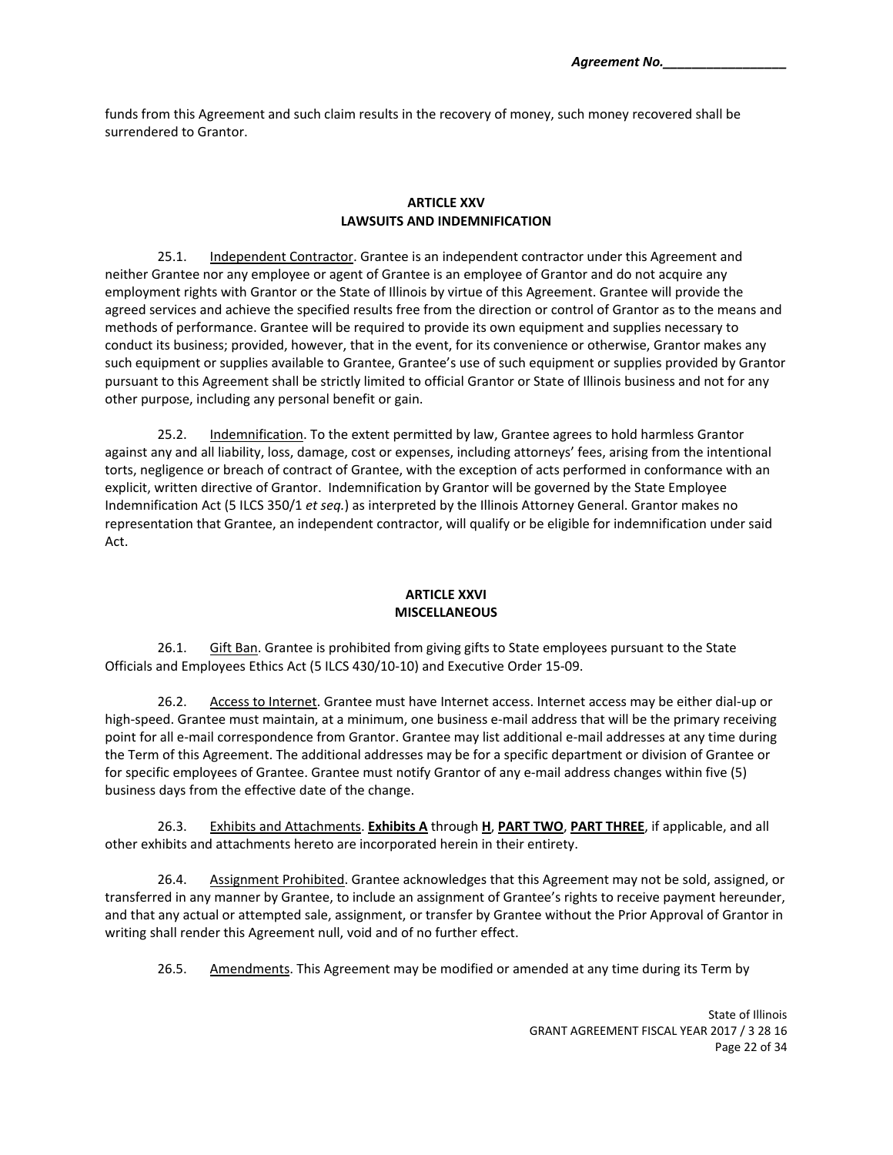funds from this Agreement and such claim results in the recovery of money, such money recovered shall be surrendered to Grantor.

#### **ARTICLE XXV LAWSUITS AND INDEMNIFICATION**

25.1. Independent Contractor. Grantee is an independent contractor under this Agreement and neither Grantee nor any employee or agent of Grantee is an employee of Grantor and do not acquire any employment rights with Grantor or the State of Illinois by virtue of this Agreement. Grantee will provide the agreed services and achieve the specified results free from the direction or control of Grantor as to the means and methods of performance. Grantee will be required to provide its own equipment and supplies necessary to conduct its business; provided, however, that in the event, for its convenience or otherwise, Grantor makes any such equipment or supplies available to Grantee, Grantee's use of such equipment or supplies provided by Grantor pursuant to this Agreement shall be strictly limited to official Grantor or State of Illinois business and not for any other purpose, including any personal benefit or gain.

25.2. Indemnification. To the extent permitted by law, Grantee agrees to hold harmless Grantor against any and all liability, loss, damage, cost or expenses, including attorneys' fees, arising from the intentional torts, negligence or breach of contract of Grantee, with the exception of acts performed in conformance with an explicit, written directive of Grantor. Indemnification by Grantor will be governed by the State Employee Indemnification Act (5 ILCS 350/1 *et seq.*) as interpreted by the Illinois Attorney General. Grantor makes no representation that Grantee, an independent contractor, will qualify or be eligible for indemnification under said Act.

#### **ARTICLE XXVI MISCELLANEOUS**

26.1. Gift Ban. Grantee is prohibited from giving gifts to State employees pursuant to the State Officials and Employees Ethics Act (5 ILCS 430/10‐10) and Executive Order 15‐09.

26.2. Access to Internet. Grantee must have Internet access. Internet access may be either dial-up or high-speed. Grantee must maintain, at a minimum, one business e-mail address that will be the primary receiving point for all e-mail correspondence from Grantor. Grantee may list additional e-mail addresses at any time during the Term of this Agreement. The additional addresses may be for a specific department or division of Grantee or for specific employees of Grantee. Grantee must notify Grantor of any e‐mail address changes within five (5) business days from the effective date of the change.

26.3. Exhibits and Attachments. **Exhibits A** through **H**, **PART TWO**, **PART THREE**, if applicable, and all other exhibits and attachments hereto are incorporated herein in their entirety.

26.4. Assignment Prohibited. Grantee acknowledges that this Agreement may not be sold, assigned, or transferred in any manner by Grantee, to include an assignment of Grantee's rights to receive payment hereunder, and that any actual or attempted sale, assignment, or transfer by Grantee without the Prior Approval of Grantor in writing shall render this Agreement null, void and of no further effect.

26.5. Amendments. This Agreement may be modified or amended at any time during its Term by

State of Illinois GRANT AGREEMENT FISCAL YEAR 2017 / 3 28 16 Page 22 of 34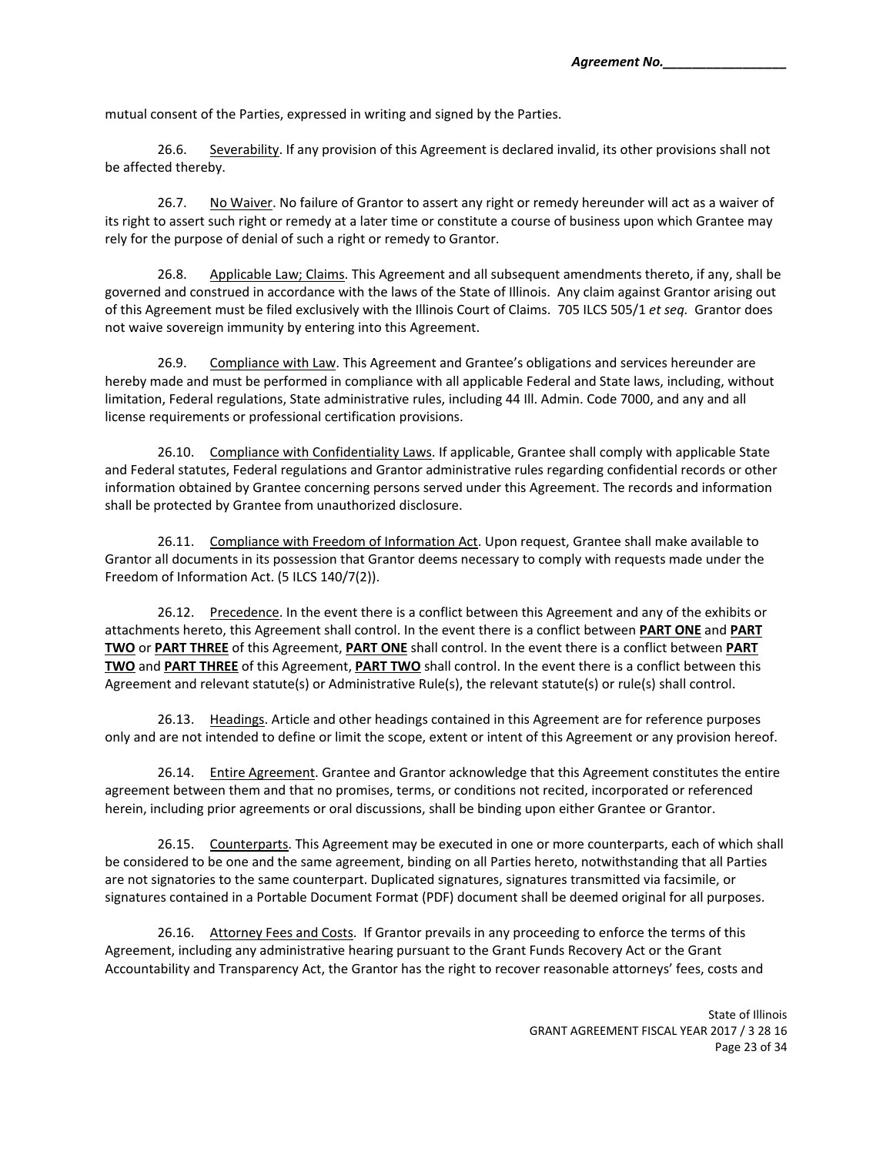mutual consent of the Parties, expressed in writing and signed by the Parties.

26.6. Severability. If any provision of this Agreement is declared invalid, its other provisions shall not be affected thereby.

26.7. No Waiver. No failure of Grantor to assert any right or remedy hereunder will act as a waiver of its right to assert such right or remedy at a later time or constitute a course of business upon which Grantee may rely for the purpose of denial of such a right or remedy to Grantor.

26.8. Applicable Law; Claims. This Agreement and all subsequent amendments thereto, if any, shall be governed and construed in accordance with the laws of the State of Illinois. Any claim against Grantor arising out of this Agreement must be filed exclusively with the Illinois Court of Claims. 705 ILCS 505/1 *et seq.* Grantor does not waive sovereign immunity by entering into this Agreement.

26.9. Compliance with Law. This Agreement and Grantee's obligations and services hereunder are hereby made and must be performed in compliance with all applicable Federal and State laws, including, without limitation, Federal regulations, State administrative rules, including 44 Ill. Admin. Code 7000, and any and all license requirements or professional certification provisions.

26.10. Compliance with Confidentiality Laws. If applicable, Grantee shall comply with applicable State and Federal statutes, Federal regulations and Grantor administrative rules regarding confidential records or other information obtained by Grantee concerning persons served under this Agreement. The records and information shall be protected by Grantee from unauthorized disclosure.

26.11. Compliance with Freedom of Information Act. Upon request, Grantee shall make available to Grantor all documents in its possession that Grantor deems necessary to comply with requests made under the Freedom of Information Act. (5 ILCS 140/7(2)).

26.12. Precedence. In the event there is a conflict between this Agreement and any of the exhibits or attachments hereto, this Agreement shall control. In the event there is a conflict between **PART ONE** and **PART TWO** or **PART THREE** of this Agreement, **PART ONE** shall control. In the event there is a conflict between **PART TWO** and **PART THREE** of this Agreement, **PART TWO** shall control. In the event there is a conflict between this Agreement and relevant statute(s) or Administrative Rule(s), the relevant statute(s) or rule(s) shall control.

26.13. Headings. Article and other headings contained in this Agreement are for reference purposes only and are not intended to define or limit the scope, extent or intent of this Agreement or any provision hereof.

26.14. Entire Agreement. Grantee and Grantor acknowledge that this Agreement constitutes the entire agreement between them and that no promises, terms, or conditions not recited, incorporated or referenced herein, including prior agreements or oral discussions, shall be binding upon either Grantee or Grantor.

26.15. Counterparts. This Agreement may be executed in one or more counterparts, each of which shall be considered to be one and the same agreement, binding on all Parties hereto, notwithstanding that all Parties are not signatories to the same counterpart. Duplicated signatures, signatures transmitted via facsimile, or signatures contained in a Portable Document Format (PDF) document shall be deemed original for all purposes.

26.16. Attorney Fees and Costs. If Grantor prevails in any proceeding to enforce the terms of this Agreement, including any administrative hearing pursuant to the Grant Funds Recovery Act or the Grant Accountability and Transparency Act, the Grantor has the right to recover reasonable attorneys' fees, costs and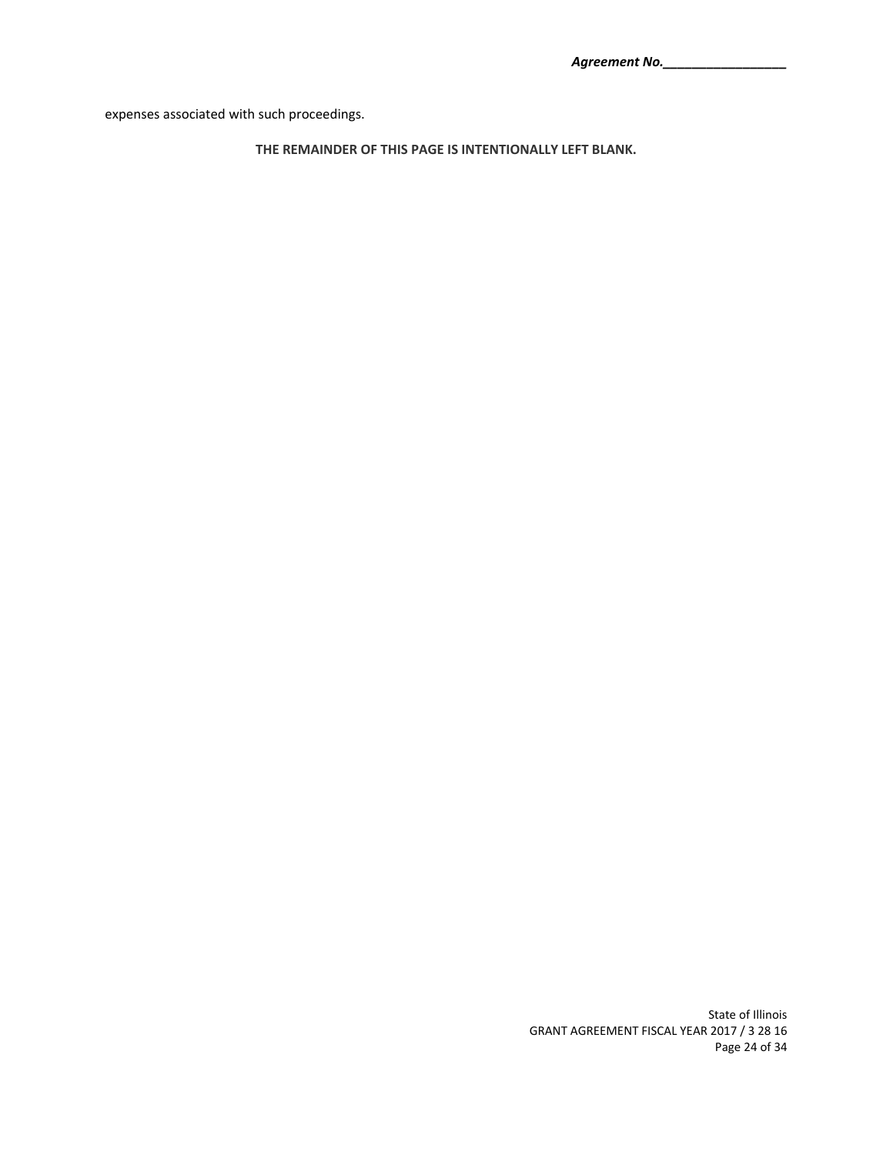expenses associated with such proceedings.

**THE REMAINDER OF THIS PAGE IS INTENTIONALLY LEFT BLANK.** 

State of Illinois GRANT AGREEMENT FISCAL YEAR 2017 / 3 28 16 Page 24 of 34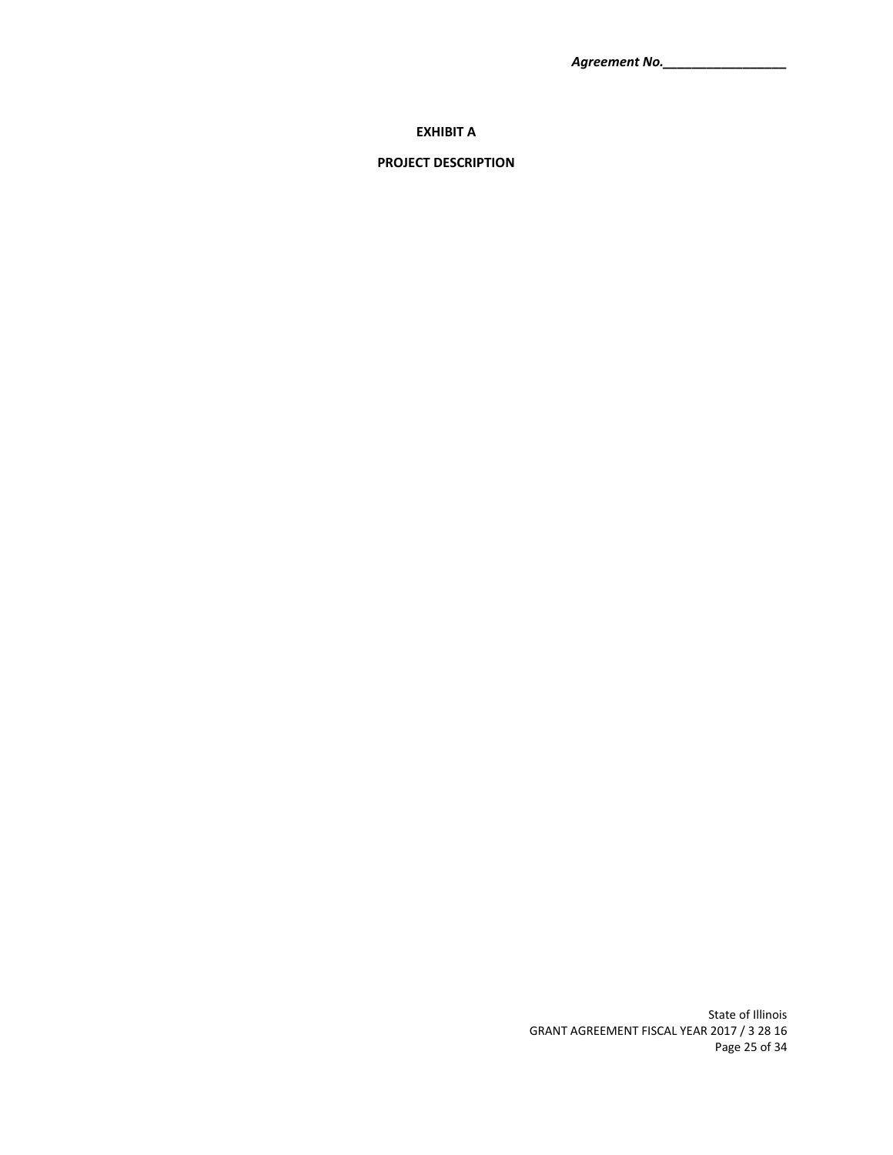*Agreement No.\_\_\_\_\_\_\_\_\_\_\_\_\_\_\_\_\_*

## **EXHIBIT A**

## **PROJECT DESCRIPTION**

State of Illinois GRANT AGREEMENT FISCAL YEAR 2017 / 3 28 16 Page 25 of 34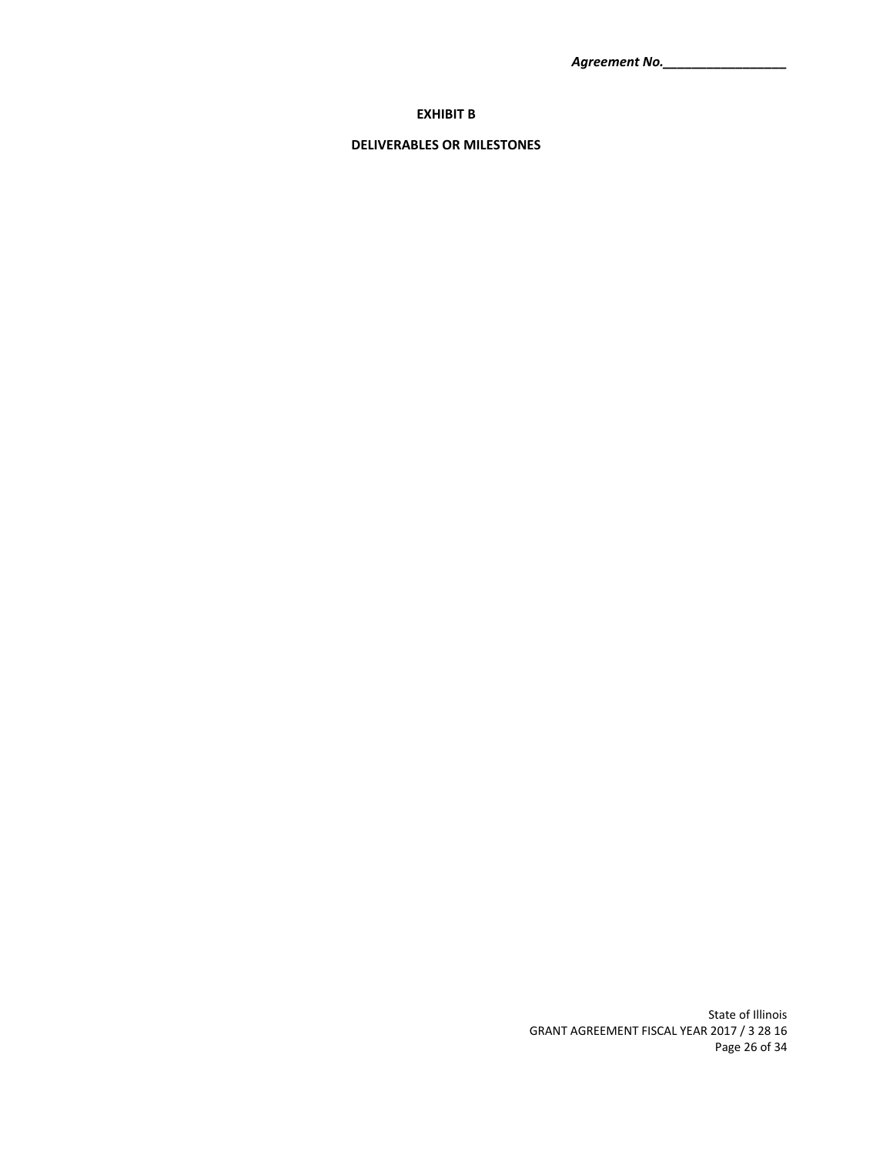*Agreement No.\_\_\_\_\_\_\_\_\_\_\_\_\_\_\_\_\_*

# **EXHIBIT B**

# **DELIVERABLES OR MILESTONES**

State of Illinois GRANT AGREEMENT FISCAL YEAR 2017 / 3 28 16 Page 26 of 34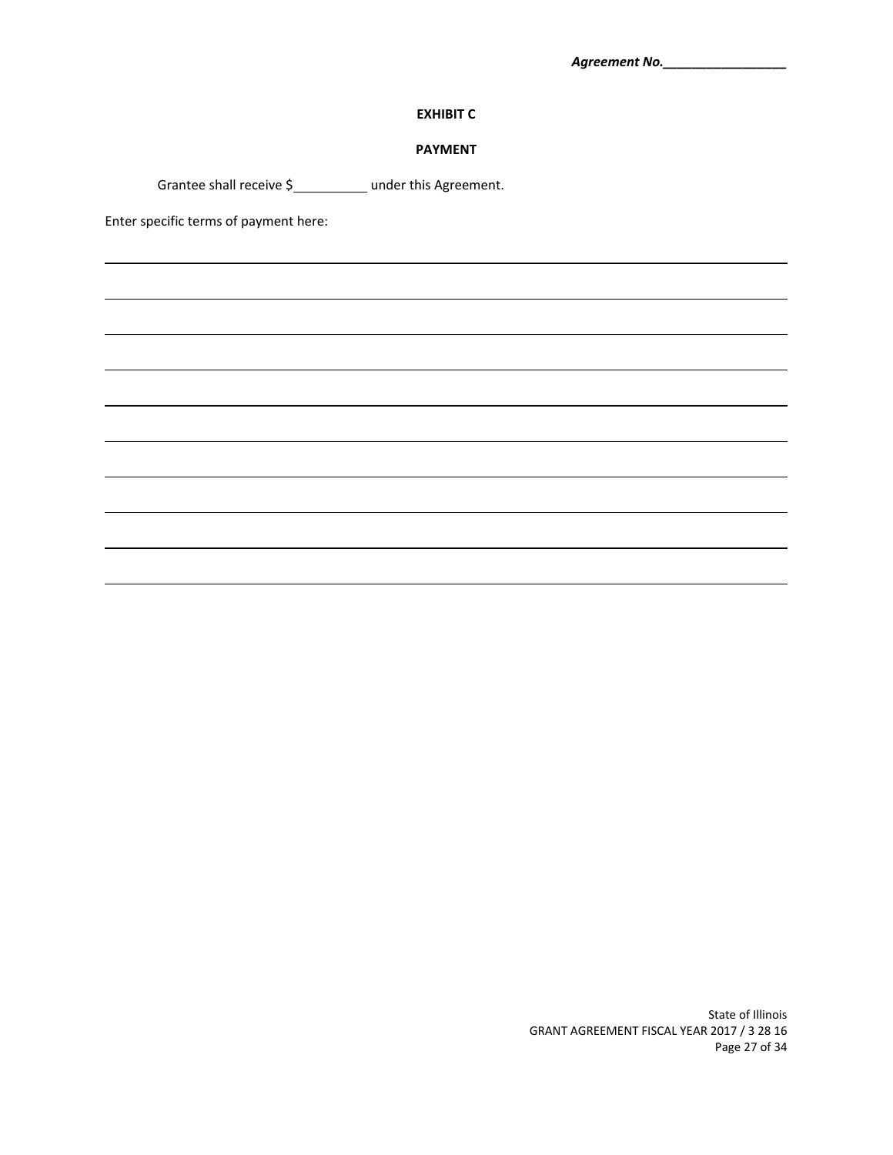# **EXHIBIT C**

## **PAYMENT**

<u> 1989 - Johann Stoff, amerikansk politiker (d. 1989)</u>

<u> 1989 - Johann Stoff, amerikansk politiker (d. 1989)</u>

Grantee shall receive \$<br>1.111 moder this Agreement.

Enter specific terms of payment here:

State of Illinois GRANT AGREEMENT FISCAL YEAR 2017 / 3 28 16 Page 27 of 34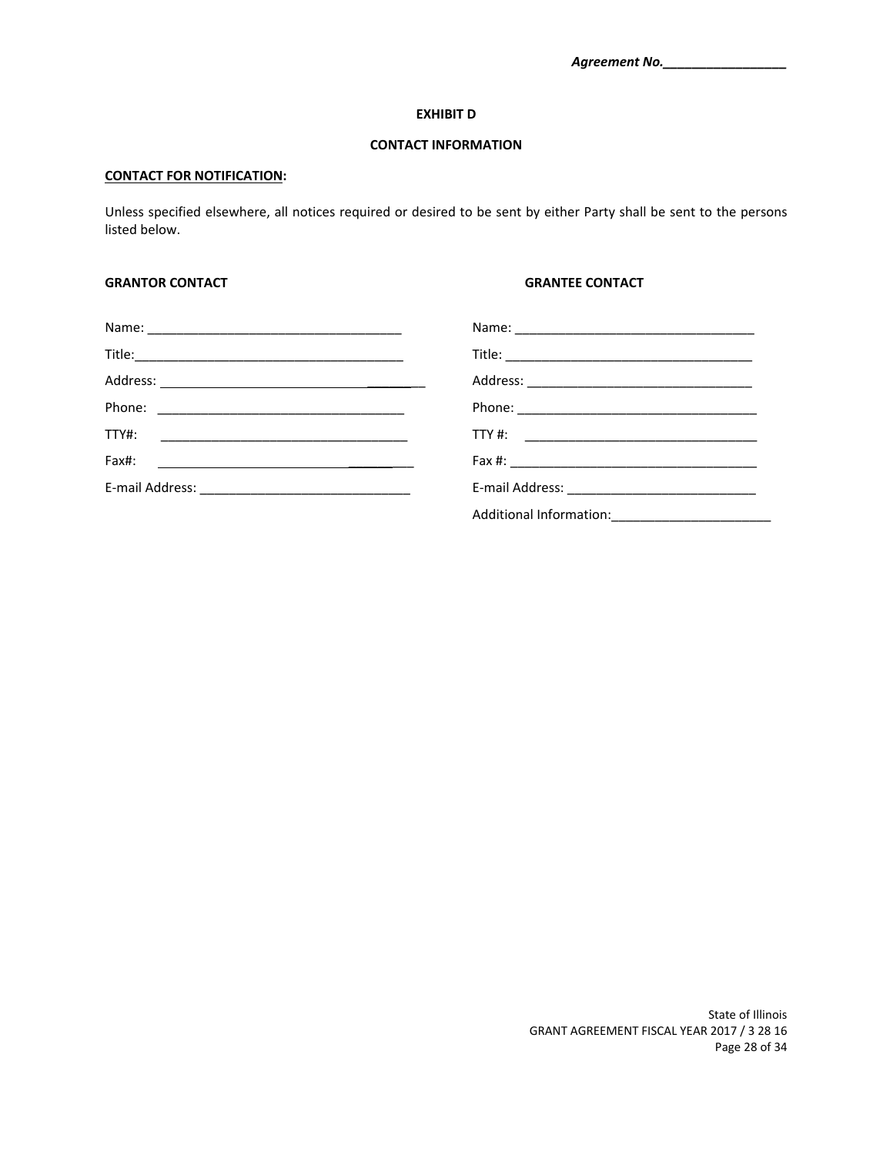#### **EXHIBIT D**

## **CONTACT INFORMATION**

## **CONTACT FOR NOTIFICATION:**

Unless specified elsewhere, all notices required or desired to be sent by either Party shall be sent to the persons listed below.

#### **GRANTOR CONTACT GRANTEE CONTACT**

| TTY#:                                                                                                                         |                      |
|-------------------------------------------------------------------------------------------------------------------------------|----------------------|
| Fax#:<br><u> 1980 - Andrea Britain, politik eta politik eta politik eta politik eta politik eta politik eta politik eta p</u> |                      |
|                                                                                                                               | E-mail Address: 2008 |
|                                                                                                                               |                      |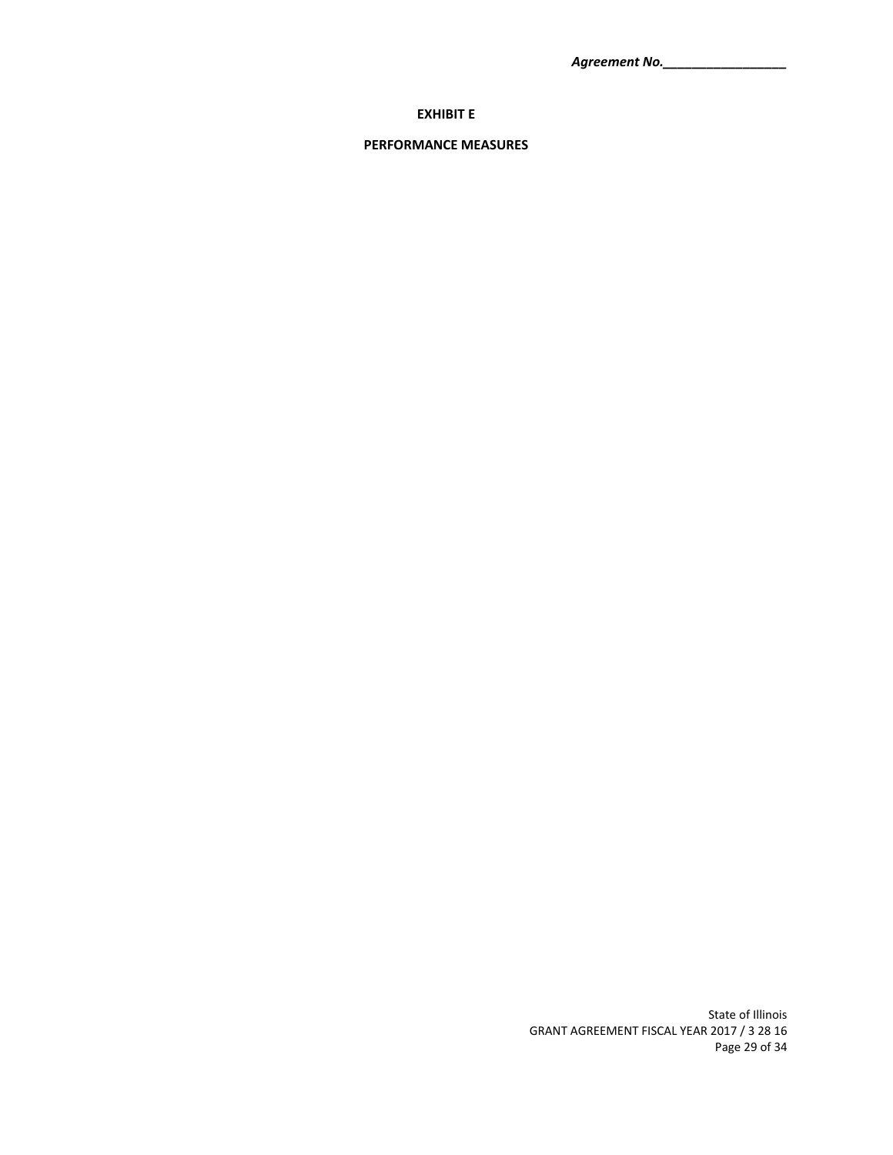*Agreement No.\_\_\_\_\_\_\_\_\_\_\_\_\_\_\_\_\_*

# **EXHIBIT E**

# **PERFORMANCE MEASURES**

State of Illinois GRANT AGREEMENT FISCAL YEAR 2017 / 3 28 16 Page 29 of 34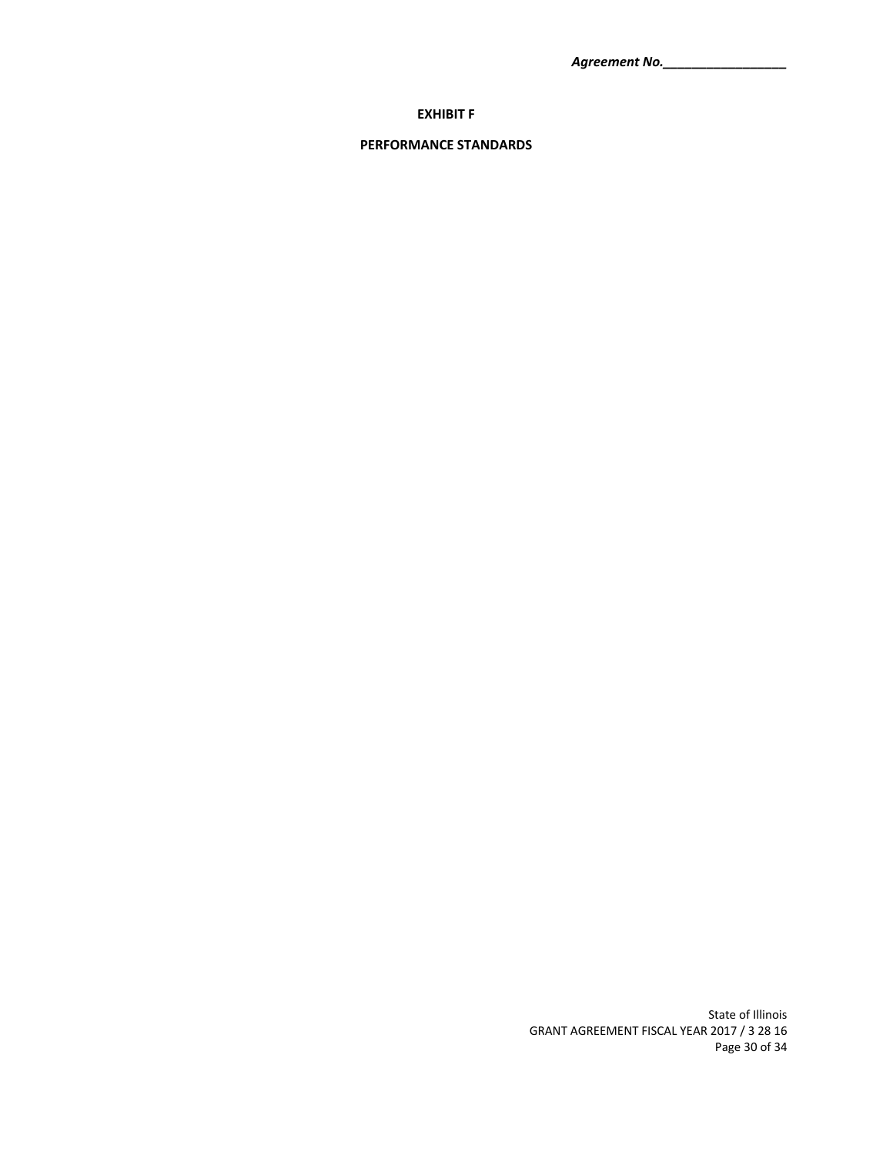*Agreement No.\_\_\_\_\_\_\_\_\_\_\_\_\_\_\_\_\_*

# **EXHIBIT F**

# **PERFORMANCE STANDARDS**

State of Illinois GRANT AGREEMENT FISCAL YEAR 2017 / 3 28 16 Page 30 of 34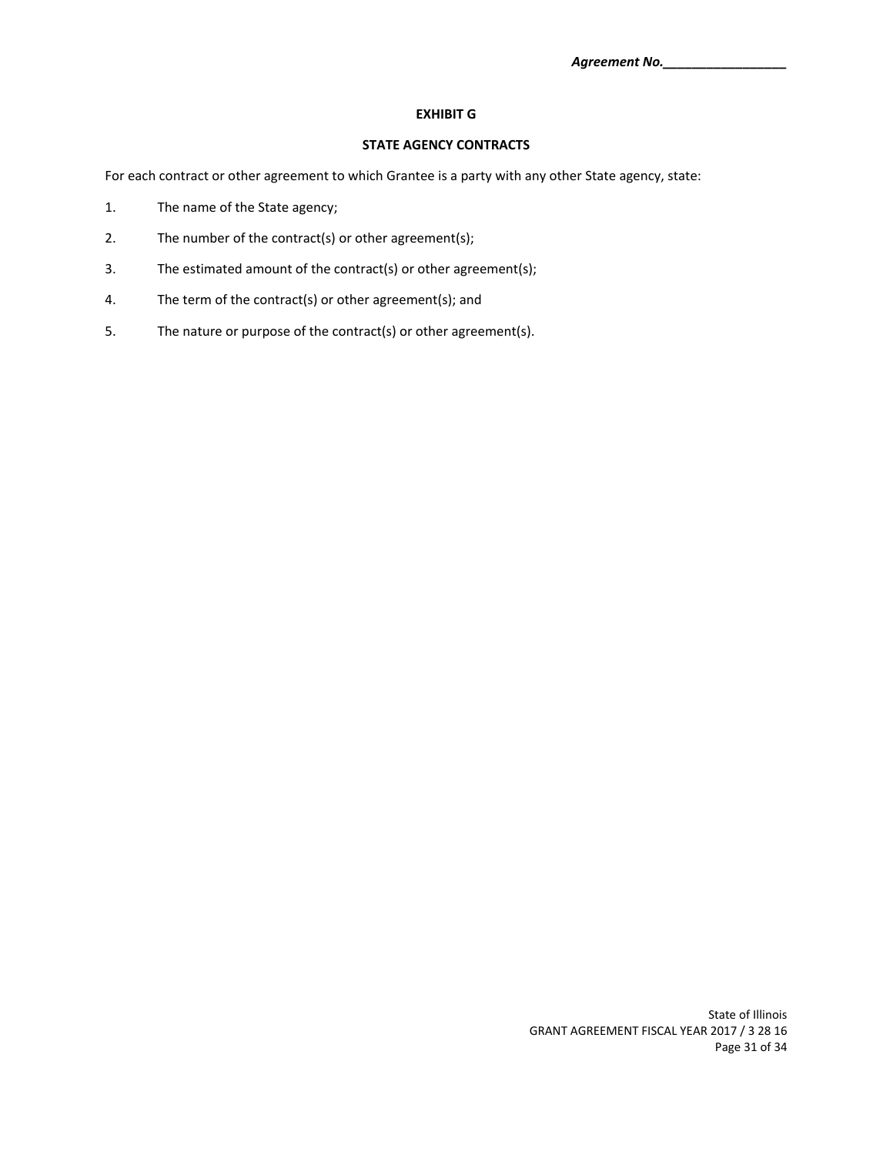## **EXHIBIT G**

## **STATE AGENCY CONTRACTS**

For each contract or other agreement to which Grantee is a party with any other State agency, state:

- 1. The name of the State agency;
- 2. The number of the contract(s) or other agreement(s);
- 3. The estimated amount of the contract(s) or other agreement(s);
- 4. The term of the contract(s) or other agreement(s); and
- 5. The nature or purpose of the contract(s) or other agreement(s).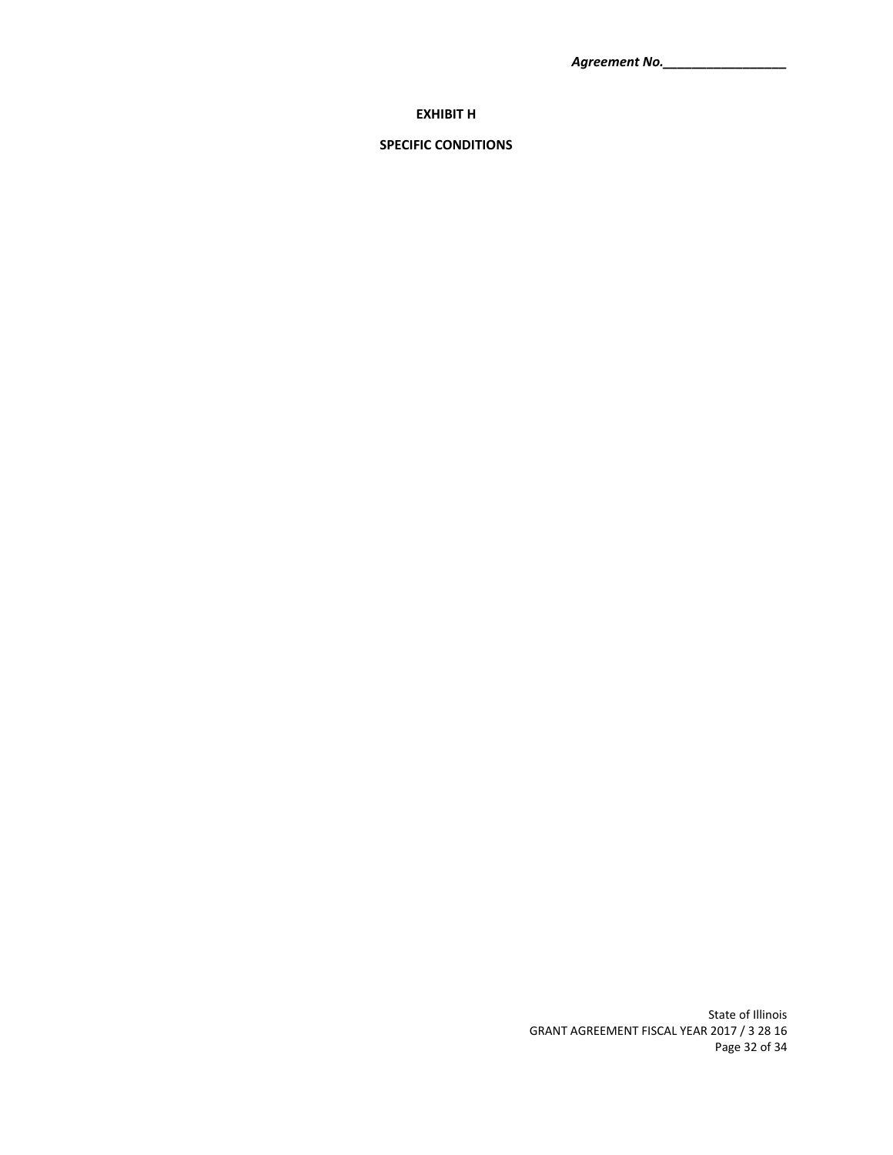*Agreement No.\_\_\_\_\_\_\_\_\_\_\_\_\_\_\_\_\_*

# **EXHIBIT H**

# **SPECIFIC CONDITIONS**

State of Illinois GRANT AGREEMENT FISCAL YEAR 2017 / 3 28 16 Page 32 of 34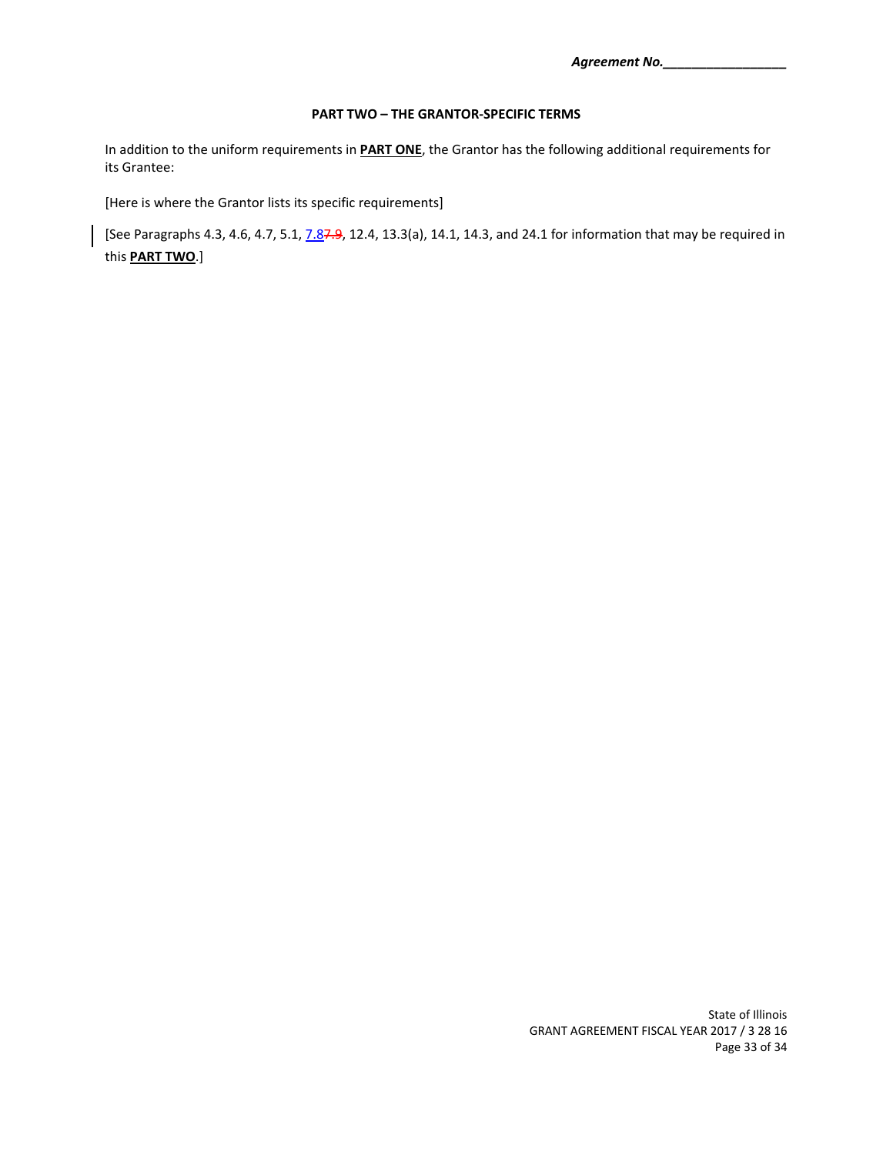## **PART TWO – THE GRANTOR‐SPECIFIC TERMS**

In addition to the uniform requirements in **PART ONE**, the Grantor has the following additional requirements for its Grantee:

[Here is where the Grantor lists its specific requirements]

[See Paragraphs 4.3, 4.6, 4.7, 5.1, 7.87.9, 12.4, 13.3(a), 14.1, 14.3, and 24.1 for information that may be required in this **PART TWO**.]